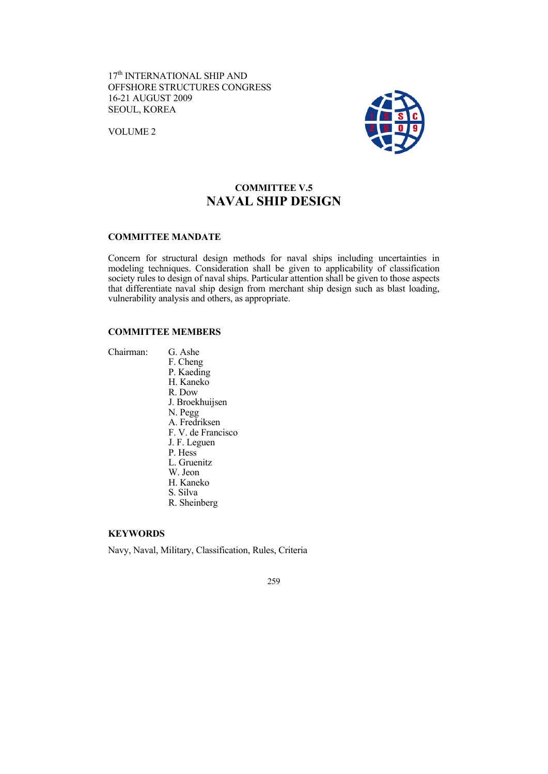17<sup>th</sup> INTERNATIONAL SHIP AND OFFSHORE STRUCTURES CONGRESS 16-21 AUGUST 2009 SEOUL, KOREA

VOLUME 2



# **COMMITTEE V.5 NAVAL SHIP DESIGN**

# **COMMITTEE MANDATE**

Concern for structural design methods for naval ships including uncertainties in modeling techniques. Consideration shall be given to applicability of classification society rules to design of naval ships. Particular attention shall be given to those aspects that differentiate naval ship design from merchant ship design such as blast loading, vulnerability analysis and others, as appropriate.

# **COMMITTEE MEMBERS**

Chairman: G. Ashe

 F. Cheng P. Kaeding H. Kaneko R. Dow J. Broekhuijsen N. Pegg A. Fredriksen F. V. de Francisco J. F. Leguen P. Hess L. Gruenitz W. Jeon H. Kaneko S. Silva R. Sheinberg

# **KEYWORDS**

Navy, Naval, Military, Classification, Rules, Criteria

259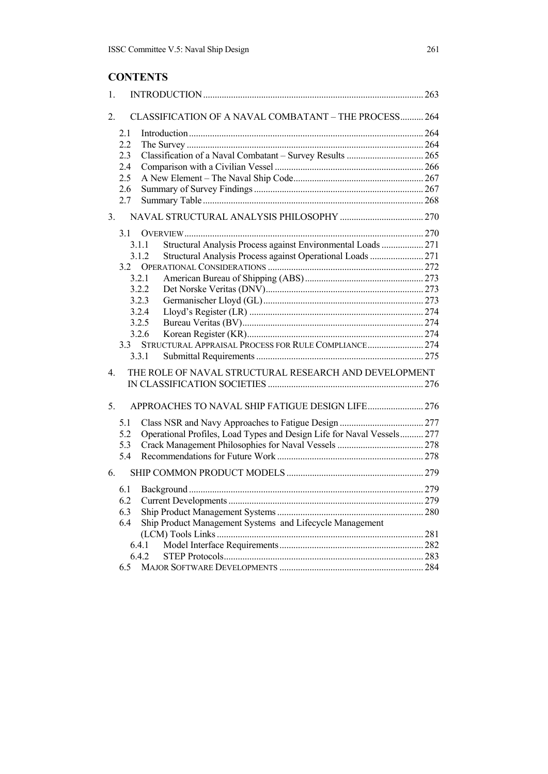# **CONTENTS**

| 1. |                                                                               |     |
|----|-------------------------------------------------------------------------------|-----|
| 2. | CLASSIFICATION OF A NAVAL COMBATANT - THE PROCESS 264                         |     |
|    | 2.1                                                                           |     |
|    | 2.2                                                                           |     |
|    | 2.3                                                                           |     |
|    | 2.4                                                                           |     |
|    | 2.5                                                                           |     |
|    | 2.6                                                                           |     |
|    | 2.7                                                                           |     |
| 3. |                                                                               |     |
|    | 3.1                                                                           |     |
|    | Structural Analysis Process against Environmental Loads  271<br>3.1.1         |     |
|    | Structural Analysis Process against Operational Loads  271<br>3.1.2           |     |
|    | 3.2                                                                           |     |
|    | 3.2.1                                                                         |     |
|    | 3.2.2                                                                         |     |
|    | 3.2.3<br>3.2.4                                                                |     |
|    | 3.2.5                                                                         |     |
|    | 3.2.6                                                                         |     |
|    | STRUCTURAL APPRAISAL PROCESS FOR RULE COMPLIANCE 274<br>3.3                   |     |
|    | 3.3.1                                                                         |     |
|    |                                                                               |     |
| 4. | THE ROLE OF NAVAL STRUCTURAL RESEARCH AND DEVELOPMENT                         |     |
|    |                                                                               |     |
| 5. | APPROACHES TO NAVAL SHIP FATIGUE DESIGN LIFE 276                              |     |
|    | 5.1                                                                           |     |
|    | Operational Profiles, Load Types and Design Life for Naval Vessels 277<br>5.2 |     |
|    | 5.3                                                                           |     |
|    | 5.4                                                                           |     |
| 6. |                                                                               |     |
|    | 6.1                                                                           |     |
|    | 6.2 Current Developments                                                      | 279 |
|    | 6.3                                                                           |     |
|    | Ship Product Management Systems and Lifecycle Management<br>6.4               |     |
|    |                                                                               | 281 |
|    | 6.4.1                                                                         |     |
|    | 6.4.2                                                                         |     |
|    | 6.5                                                                           |     |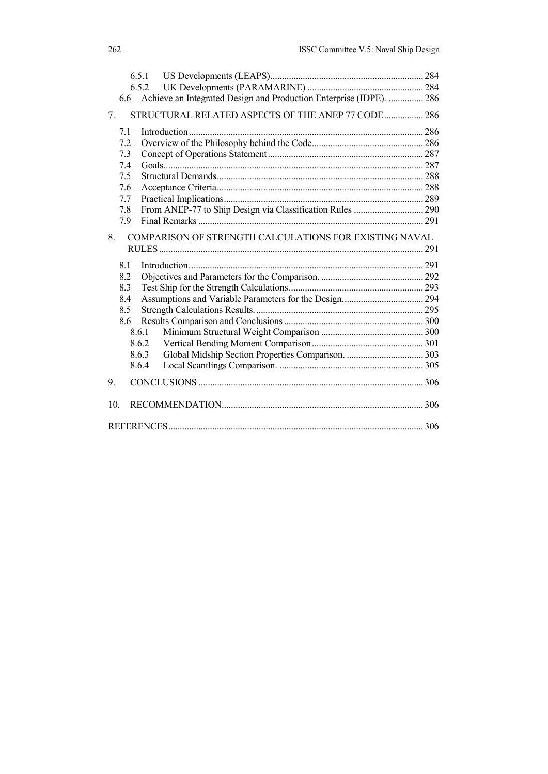|     | 6.5.1 |                                                                     |      |
|-----|-------|---------------------------------------------------------------------|------|
|     | 652   |                                                                     |      |
|     | 6.6   | Achieve an Integrated Design and Production Enterprise (IDPE).  286 |      |
| 7.  |       | STRUCTURAL RELATED ASPECTS OF THE ANEP 77 CODE  286                 |      |
| 7.1 |       |                                                                     |      |
|     | 7.2   |                                                                     |      |
| 7.3 |       |                                                                     |      |
| 7.4 |       |                                                                     |      |
| 7.5 |       |                                                                     |      |
| 7.6 |       |                                                                     |      |
| 7.7 |       |                                                                     |      |
| 7.8 |       | From ANEP-77 to Ship Design via Classification Rules  290           |      |
|     | 7.9   |                                                                     |      |
| 8.  |       | COMPARISON OF STRENGTH CALCULATIONS FOR EXISTING NAVAL              |      |
| 8.1 |       |                                                                     |      |
| 8.2 |       |                                                                     |      |
| 8.3 |       |                                                                     |      |
| 8.4 |       |                                                                     |      |
|     | 8.5   |                                                                     |      |
|     | 8.6   |                                                                     |      |
|     | 8.6.1 |                                                                     |      |
|     | 8.6.2 |                                                                     |      |
|     | 8.6.3 |                                                                     |      |
|     | 8.6.4 |                                                                     |      |
| 9.  |       |                                                                     |      |
| 10. |       |                                                                     |      |
|     |       |                                                                     | .306 |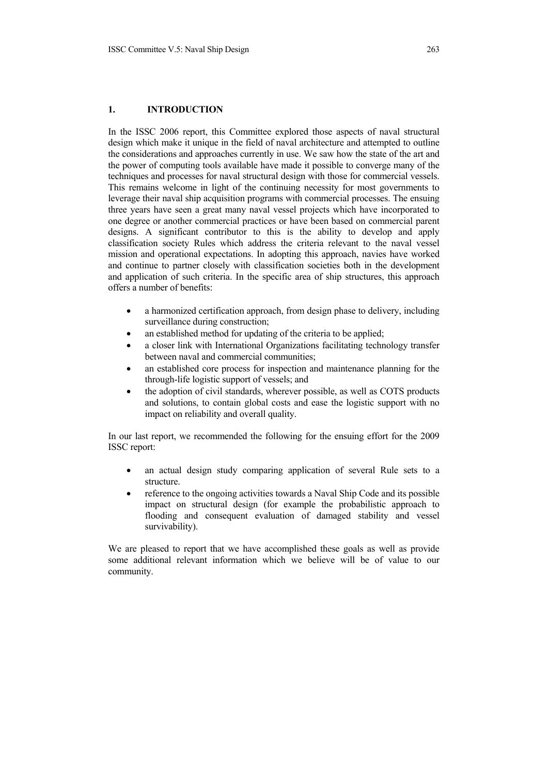## **1. INTRODUCTION**

In the ISSC 2006 report, this Committee explored those aspects of naval structural design which make it unique in the field of naval architecture and attempted to outline the considerations and approaches currently in use. We saw how the state of the art and the power of computing tools available have made it possible to converge many of the techniques and processes for naval structural design with those for commercial vessels. This remains welcome in light of the continuing necessity for most governments to leverage their naval ship acquisition programs with commercial processes. The ensuing three years have seen a great many naval vessel projects which have incorporated to one degree or another commercial practices or have been based on commercial parent designs. A significant contributor to this is the ability to develop and apply classification society Rules which address the criteria relevant to the naval vessel mission and operational expectations. In adopting this approach, navies have worked and continue to partner closely with classification societies both in the development and application of such criteria. In the specific area of ship structures, this approach offers a number of benefits:

- a harmonized certification approach, from design phase to delivery, including surveillance during construction;
- an established method for updating of the criteria to be applied;
- a closer link with International Organizations facilitating technology transfer between naval and commercial communities;
- an established core process for inspection and maintenance planning for the through-life logistic support of vessels; and
- the adoption of civil standards, wherever possible, as well as COTS products and solutions, to contain global costs and ease the logistic support with no impact on reliability and overall quality.

In our last report, we recommended the following for the ensuing effort for the 2009 ISSC report:

- an actual design study comparing application of several Rule sets to a structure.
- reference to the ongoing activities towards a Naval Ship Code and its possible impact on structural design (for example the probabilistic approach to flooding and consequent evaluation of damaged stability and vessel survivability).

We are pleased to report that we have accomplished these goals as well as provide some additional relevant information which we believe will be of value to our community.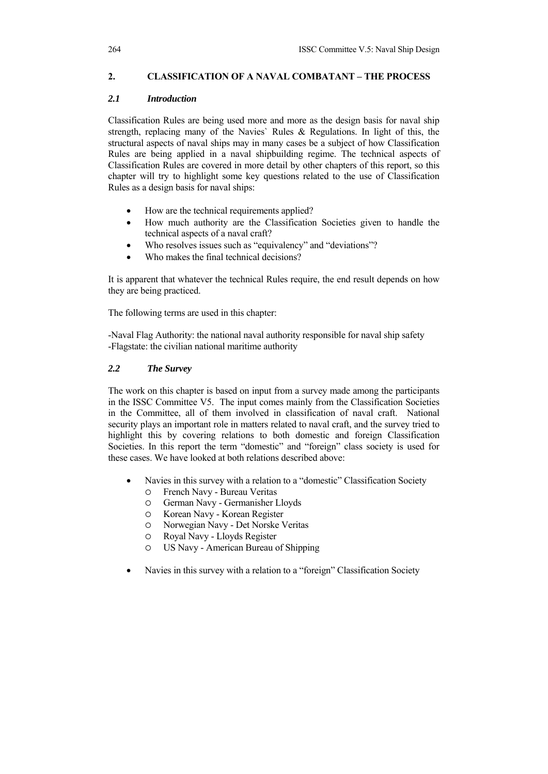# **2. CLASSIFICATION OF A NAVAL COMBATANT – THE PROCESS**

# *2.1 Introduction*

Classification Rules are being used more and more as the design basis for naval ship strength, replacing many of the Navies` Rules & Regulations. In light of this, the structural aspects of naval ships may in many cases be a subject of how Classification Rules are being applied in a naval shipbuilding regime. The technical aspects of Classification Rules are covered in more detail by other chapters of this report, so this chapter will try to highlight some key questions related to the use of Classification Rules as a design basis for naval ships:

- How are the technical requirements applied?
- How much authority are the Classification Societies given to handle the technical aspects of a naval craft?
- Who resolves issues such as "equivalency" and "deviations"?
- Who makes the final technical decisions?

It is apparent that whatever the technical Rules require, the end result depends on how they are being practiced.

The following terms are used in this chapter:

-Naval Flag Authority: the national naval authority responsible for naval ship safety -Flagstate: the civilian national maritime authority

# *2.2 The Survey*

The work on this chapter is based on input from a survey made among the participants in the ISSC Committee V5. The input comes mainly from the Classification Societies in the Committee, all of them involved in classification of naval craft. National security plays an important role in matters related to naval craft, and the survey tried to highlight this by covering relations to both domestic and foreign Classification Societies. In this report the term "domestic" and "foreign" class society is used for these cases. We have looked at both relations described above:

- Navies in this survey with a relation to a "domestic" Classification Society
	- { French Navy Bureau Veritas
	- { German Navy Germanisher Lloyds
	- { Korean Navy Korean Register
	- { Norwegian Navy Det Norske Veritas
	- { Royal Navy Lloyds Register
	- { US Navy American Bureau of Shipping
- Navies in this survey with a relation to a "foreign" Classification Society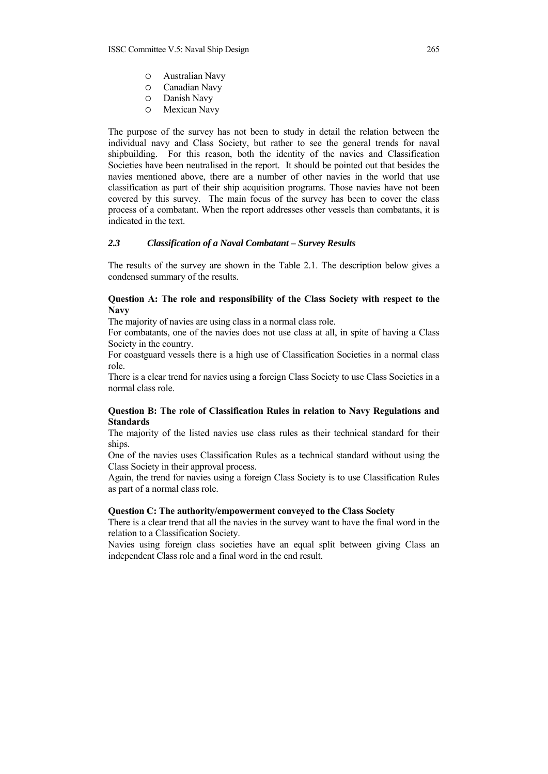- { Australian Navy
- O Canadian Navy<br>O Danish Navy
- { Danish Navy
- { Mexican Navy

The purpose of the survey has not been to study in detail the relation between the individual navy and Class Society, but rather to see the general trends for naval shipbuilding. For this reason, both the identity of the navies and Classification Societies have been neutralised in the report. It should be pointed out that besides the navies mentioned above, there are a number of other navies in the world that use classification as part of their ship acquisition programs. Those navies have not been covered by this survey. The main focus of the survey has been to cover the class process of a combatant. When the report addresses other vessels than combatants, it is indicated in the text.

#### *2.3 Classification of a Naval Combatant – Survey Results*

The results of the survey are shown in the Table 2.1. The description below gives a condensed summary of the results.

### **Question A: The role and responsibility of the Class Society with respect to the Navy**

The majority of navies are using class in a normal class role.

For combatants, one of the navies does not use class at all, in spite of having a Class Society in the country.

For coastguard vessels there is a high use of Classification Societies in a normal class role.

There is a clear trend for navies using a foreign Class Society to use Class Societies in a normal class role.

### **Question B: The role of Classification Rules in relation to Navy Regulations and Standards**

The majority of the listed navies use class rules as their technical standard for their ships.

One of the navies uses Classification Rules as a technical standard without using the Class Society in their approval process.

Again, the trend for navies using a foreign Class Society is to use Classification Rules as part of a normal class role.

#### **Question C: The authority/empowerment conveyed to the Class Society**

There is a clear trend that all the navies in the survey want to have the final word in the relation to a Classification Society.

Navies using foreign class societies have an equal split between giving Class an independent Class role and a final word in the end result.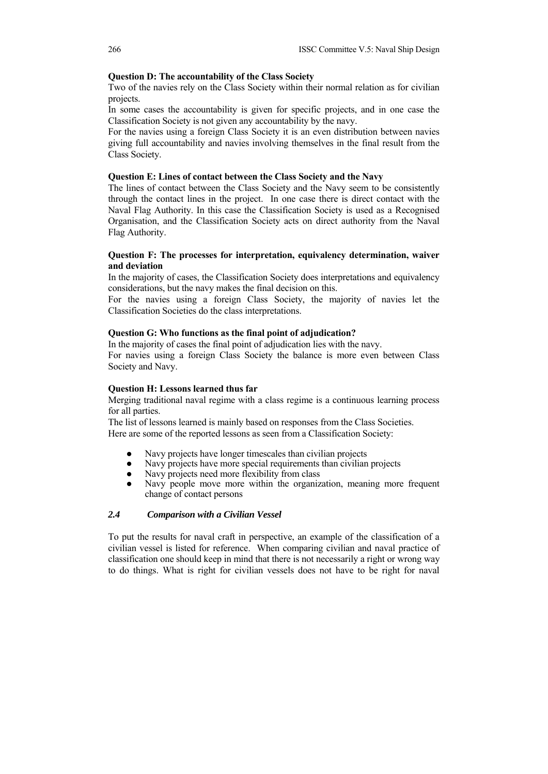#### **Question D: The accountability of the Class Society**

Two of the navies rely on the Class Society within their normal relation as for civilian projects.

In some cases the accountability is given for specific projects, and in one case the Classification Society is not given any accountability by the navy.

For the navies using a foreign Class Society it is an even distribution between navies giving full accountability and navies involving themselves in the final result from the Class Society.

#### **Question E: Lines of contact between the Class Society and the Navy**

The lines of contact between the Class Society and the Navy seem to be consistently through the contact lines in the project. In one case there is direct contact with the Naval Flag Authority. In this case the Classification Society is used as a Recognised Organisation, and the Classification Society acts on direct authority from the Naval Flag Authority.

# **Question F: The processes for interpretation, equivalency determination, waiver and deviation**

In the majority of cases, the Classification Society does interpretations and equivalency considerations, but the navy makes the final decision on this.

For the navies using a foreign Class Society, the majority of navies let the Classification Societies do the class interpretations.

#### **Question G: Who functions as the final point of adjudication?**

In the majority of cases the final point of adjudication lies with the navy. For navies using a foreign Class Society the balance is more even between Class Society and Navy.

#### **Question H: Lessons learned thus far**

Merging traditional naval regime with a class regime is a continuous learning process for all parties.

The list of lessons learned is mainly based on responses from the Class Societies. Here are some of the reported lessons as seen from a Classification Society:

- Navy projects have longer timescales than civilian projects
- Navy projects have more special requirements than civilian projects
- Navy projects need more flexibility from class
- Navy people move more within the organization, meaning more frequent change of contact persons

#### *2.4 Comparison with a Civilian Vessel*

To put the results for naval craft in perspective, an example of the classification of a civilian vessel is listed for reference. When comparing civilian and naval practice of classification one should keep in mind that there is not necessarily a right or wrong way to do things. What is right for civilian vessels does not have to be right for naval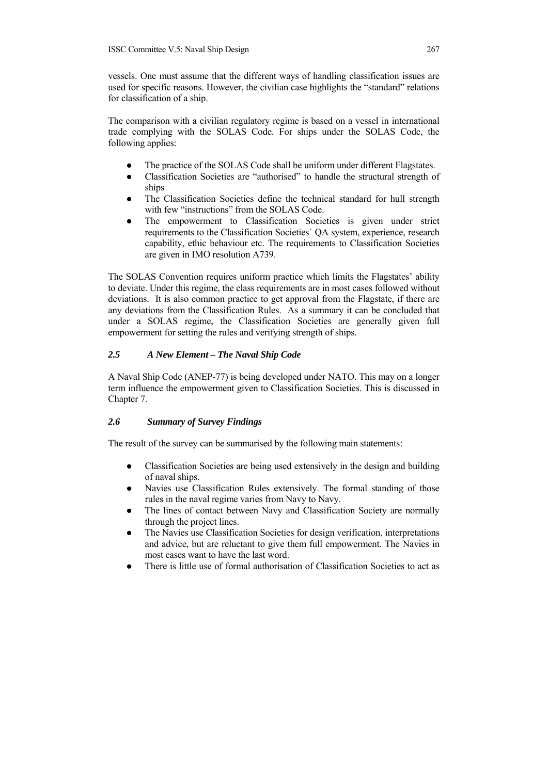vessels. One must assume that the different ways of handling classification issues are used for specific reasons. However, the civilian case highlights the "standard" relations for classification of a ship.

The comparison with a civilian regulatory regime is based on a vessel in international trade complying with the SOLAS Code. For ships under the SOLAS Code, the following applies:

- The practice of the SOLAS Code shall be uniform under different Flagstates.
- Classification Societies are "authorised" to handle the structural strength of ships
- The Classification Societies define the technical standard for hull strength with few "instructions" from the SOLAS Code.
- The empowerment to Classification Societies is given under strict requirements to the Classification Societies` QA system, experience, research capability, ethic behaviour etc. The requirements to Classification Societies are given in IMO resolution A739.

The SOLAS Convention requires uniform practice which limits the Flagstates' ability to deviate. Under this regime, the class requirements are in most cases followed without deviations. It is also common practice to get approval from the Flagstate, if there are any deviations from the Classification Rules. As a summary it can be concluded that under a SOLAS regime, the Classification Societies are generally given full empowerment for setting the rules and verifying strength of ships.

# *2.5 A New Element – The Naval Ship Code*

A Naval Ship Code (ANEP-77) is being developed under NATO. This may on a longer term influence the empowerment given to Classification Societies. This is discussed in Chapter 7.

### *2.6 Summary of Survey Findings*

The result of the survey can be summarised by the following main statements:

- Classification Societies are being used extensively in the design and building of naval ships.
- Navies use Classification Rules extensively. The formal standing of those rules in the naval regime varies from Navy to Navy.
- The lines of contact between Navy and Classification Society are normally through the project lines.
- The Navies use Classification Societies for design verification, interpretations and advice, but are reluctant to give them full empowerment. The Navies in most cases want to have the last word.
- There is little use of formal authorisation of Classification Societies to act as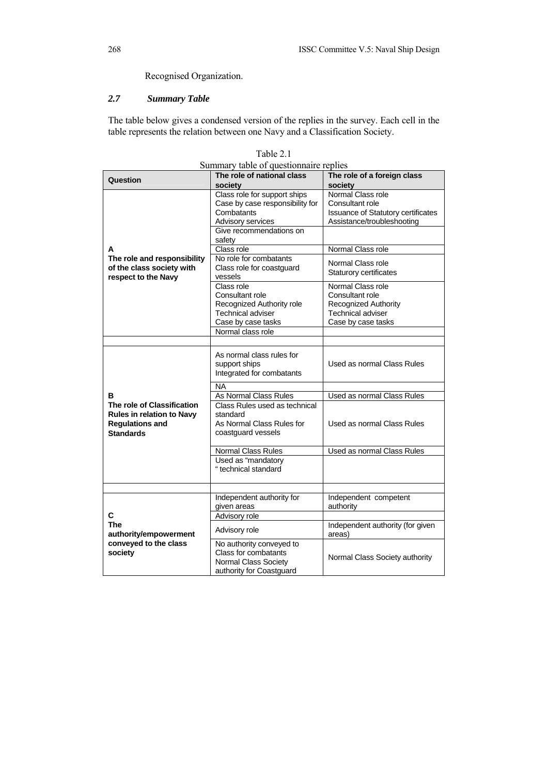Recognised Organization.

# *2.7 Summary Table*

The table below gives a condensed version of the replies in the survey. Each cell in the table represents the relation between one Navy and a Classification Society.

| Summary table of questionnaire replies                                                                |                                                                                                                               |                                                                                                                       |  |  |  |  |
|-------------------------------------------------------------------------------------------------------|-------------------------------------------------------------------------------------------------------------------------------|-----------------------------------------------------------------------------------------------------------------------|--|--|--|--|
| Question                                                                                              | The role of national class<br>society                                                                                         | The role of a foreign class<br>society                                                                                |  |  |  |  |
|                                                                                                       | Class role for support ships<br>Case by case responsibility for<br>Combatants<br>Advisory services<br>Give recommendations on | Normal Class role<br>Consultant role<br>Issuance of Statutory certificates<br>Assistance/troubleshooting              |  |  |  |  |
|                                                                                                       | safety                                                                                                                        |                                                                                                                       |  |  |  |  |
| A<br>The role and responsibility                                                                      | Class role<br>No role for combatants                                                                                          | Normal Class role                                                                                                     |  |  |  |  |
| of the class society with<br>respect to the Navy                                                      | Class role for coastquard<br>vessels                                                                                          | Normal Class role<br><b>Staturory certificates</b>                                                                    |  |  |  |  |
|                                                                                                       | Class role<br>Consultant role<br>Recognized Authority role<br><b>Technical adviser</b><br>Case by case tasks                  | Normal Class role<br>Consultant role<br><b>Recognized Authority</b><br><b>Technical adviser</b><br>Case by case tasks |  |  |  |  |
|                                                                                                       | Normal class role                                                                                                             |                                                                                                                       |  |  |  |  |
|                                                                                                       |                                                                                                                               |                                                                                                                       |  |  |  |  |
|                                                                                                       | As normal class rules for<br>support ships<br>Integrated for combatants                                                       | Used as normal Class Rules                                                                                            |  |  |  |  |
|                                                                                                       | <b>NA</b>                                                                                                                     |                                                                                                                       |  |  |  |  |
| R                                                                                                     | As Normal Class Rules                                                                                                         | Used as normal Class Rules                                                                                            |  |  |  |  |
| The role of Classification<br>Rules in relation to Navy<br><b>Regulations and</b><br><b>Standards</b> | Class Rules used as technical<br>standard<br>As Normal Class Rules for<br>coastguard vessels                                  | Used as normal Class Rules                                                                                            |  |  |  |  |
|                                                                                                       | <b>Normal Class Rules</b>                                                                                                     | Used as normal Class Rules                                                                                            |  |  |  |  |
|                                                                                                       | Used as "mandatory<br>" technical standard                                                                                    |                                                                                                                       |  |  |  |  |
|                                                                                                       |                                                                                                                               |                                                                                                                       |  |  |  |  |
|                                                                                                       | Independent authority for<br>given areas                                                                                      | Independent competent<br>authority                                                                                    |  |  |  |  |
| C                                                                                                     | Advisory role                                                                                                                 |                                                                                                                       |  |  |  |  |
| <b>The</b><br>authority/empowerment                                                                   | Advisory role                                                                                                                 | Independent authority (for given<br>areas)                                                                            |  |  |  |  |
| conveyed to the class<br>society                                                                      | No authority conveyed to<br>Class for combatants<br>Normal Class Society<br>authority for Coastguard                          | Normal Class Society authority                                                                                        |  |  |  |  |

Table 2.1 Summary table of questionnaire replies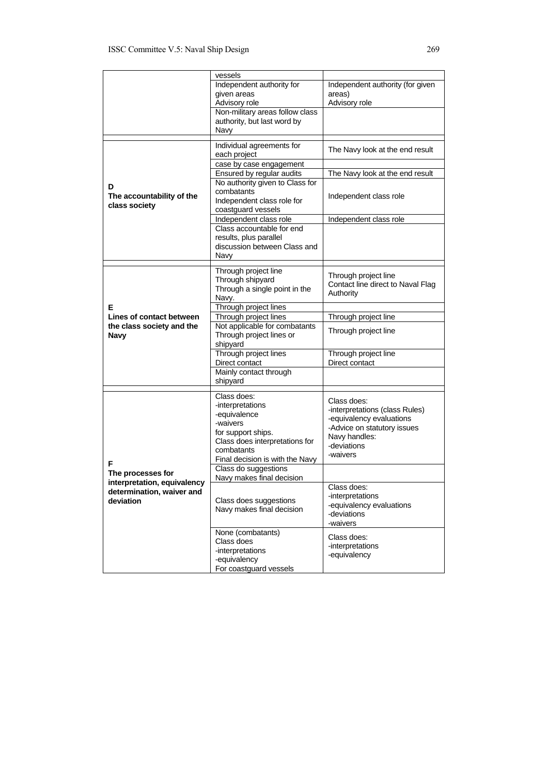|                                                                       | vessels                                                                                           |                                                                                        |  |  |
|-----------------------------------------------------------------------|---------------------------------------------------------------------------------------------------|----------------------------------------------------------------------------------------|--|--|
|                                                                       | Independent authority for<br>given areas<br>Advisory role                                         | Independent authority (for given<br>areas)<br>Advisory role                            |  |  |
|                                                                       | Non-military areas follow class<br>authority, but last word by<br>Navy                            |                                                                                        |  |  |
|                                                                       | Individual agreements for<br>each project                                                         | The Navy look at the end result                                                        |  |  |
|                                                                       | case by case engagement                                                                           |                                                                                        |  |  |
|                                                                       | Ensured by regular audits                                                                         | The Navy look at the end result                                                        |  |  |
| D<br>The accountability of the<br>class society                       | No authority given to Class for<br>combatants<br>Independent class role for<br>coastguard vessels | Independent class role                                                                 |  |  |
|                                                                       | Independent class role                                                                            | Independent class role                                                                 |  |  |
|                                                                       | Class accountable for end<br>results, plus parallel<br>discussion between Class and<br>Navy       |                                                                                        |  |  |
|                                                                       |                                                                                                   |                                                                                        |  |  |
|                                                                       | Through project line<br>Through shipyard<br>Through a single point in the<br>Navy.                | Through project line<br>Contact line direct to Naval Flag<br>Authority                 |  |  |
| Е                                                                     | Through project lines                                                                             |                                                                                        |  |  |
| Lines of contact between                                              | Through project lines                                                                             | Through project line                                                                   |  |  |
| the class society and the<br><b>Navy</b>                              | Not applicable for combatants<br>Through project lines or<br>shipyard                             | Through project line                                                                   |  |  |
|                                                                       | Through project lines                                                                             | Through project line<br>Direct contact                                                 |  |  |
|                                                                       | Direct contact<br>Mainly contact through                                                          |                                                                                        |  |  |
|                                                                       | shipyard                                                                                          |                                                                                        |  |  |
|                                                                       | Class does:                                                                                       |                                                                                        |  |  |
|                                                                       | -interpretations                                                                                  | Class does:                                                                            |  |  |
|                                                                       | -equivalence                                                                                      | -interpretations (class Rules)                                                         |  |  |
|                                                                       | -waivers                                                                                          | -equivalency evaluations                                                               |  |  |
|                                                                       | for support ships.                                                                                | -Advice on statutory issues                                                            |  |  |
|                                                                       | Class does interpretations for                                                                    | Navy handles:<br>-deviations                                                           |  |  |
|                                                                       | combatants<br>Final decision is with the Navy                                                     | -waivers                                                                               |  |  |
| F                                                                     | Class do suggestions                                                                              |                                                                                        |  |  |
| The processes for                                                     | Navy makes final decision                                                                         |                                                                                        |  |  |
| interpretation, equivalency<br>determination, waiver and<br>deviation | Class does suggestions<br>Navy makes final decision                                               | Class does:<br>-interpretations<br>-equivalency evaluations<br>-deviations<br>-waivers |  |  |
|                                                                       | None (combatants)                                                                                 | Class does:                                                                            |  |  |
|                                                                       | Class does                                                                                        | -interpretations                                                                       |  |  |
|                                                                       | -interpretations<br>-equivalency                                                                  | -equivalency                                                                           |  |  |
|                                                                       | For coastguard vessels                                                                            |                                                                                        |  |  |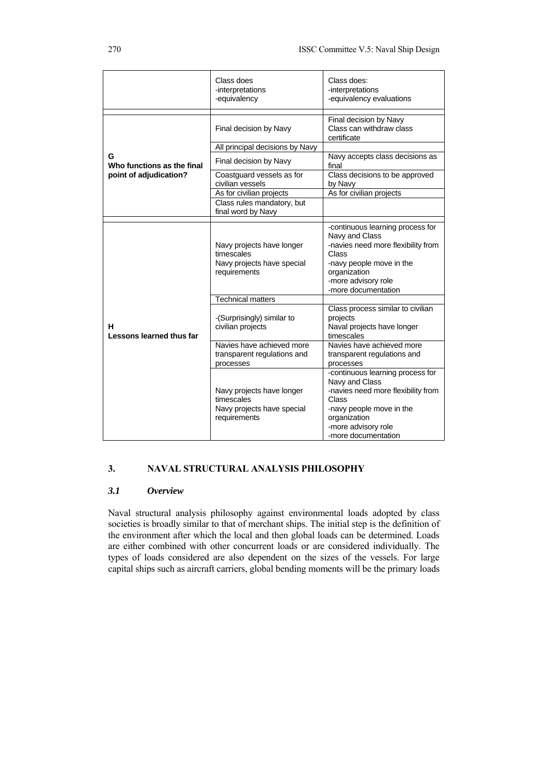|                                 | Class does<br>-interpretations<br>-equivalency                                        | Class does:<br>-interpretations<br>-equivalency evaluations                                                                                                                                 |
|---------------------------------|---------------------------------------------------------------------------------------|---------------------------------------------------------------------------------------------------------------------------------------------------------------------------------------------|
|                                 | Final decision by Navy                                                                | Final decision by Navy<br>Class can withdraw class<br>certificate                                                                                                                           |
|                                 | All principal decisions by Navy                                                       |                                                                                                                                                                                             |
| G<br>Who functions as the final | Final decision by Navy                                                                | Navy accepts class decisions as<br>final                                                                                                                                                    |
| point of adjudication?          | Coastguard vessels as for<br>civilian vessels                                         | Class decisions to be approved<br>by Navy                                                                                                                                                   |
|                                 | As for civilian projects                                                              | As for civilian projects                                                                                                                                                                    |
|                                 | Class rules mandatory, but<br>final word by Navy                                      |                                                                                                                                                                                             |
|                                 | Navy projects have longer<br>timescales<br>Navy projects have special<br>requirements | -continuous learning process for<br>Navy and Class<br>-navies need more flexibility from<br>Class<br>-navy people move in the<br>organization<br>-more advisory role<br>-more documentation |
|                                 | <b>Technical matters</b>                                                              |                                                                                                                                                                                             |
| н<br>Lessons learned thus far   | -(Surprisingly) similar to<br>civilian projects                                       | Class process similar to civilian<br>projects<br>Naval projects have longer<br>timescales                                                                                                   |
|                                 | Navies have achieved more<br>transparent regulations and<br>processes                 | Navies have achieved more<br>transparent regulations and<br>processes                                                                                                                       |
|                                 | Navy projects have longer<br>timescales<br>Navy projects have special<br>requirements | -continuous learning process for<br>Navy and Class<br>-navies need more flexibility from<br>Class<br>-navy people move in the<br>organization<br>-more advisory role<br>-more documentation |

# **3. NAVAL STRUCTURAL ANALYSIS PHILOSOPHY**

### *3.1 Overview*

Naval structural analysis philosophy against environmental loads adopted by class societies is broadly similar to that of merchant ships. The initial step is the definition of the environment after which the local and then global loads can be determined. Loads are either combined with other concurrent loads or are considered individually. The types of loads considered are also dependent on the sizes of the vessels. For large capital ships such as aircraft carriers, global bending moments will be the primary loads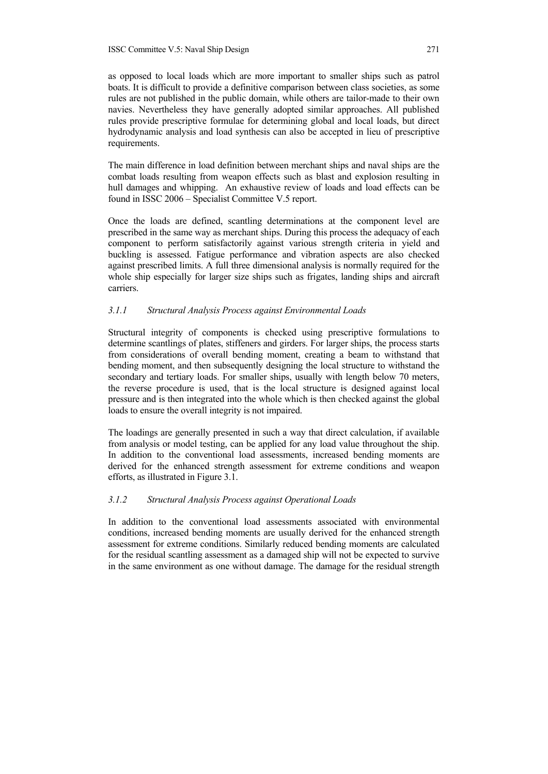as opposed to local loads which are more important to smaller ships such as patrol boats. It is difficult to provide a definitive comparison between class societies, as some rules are not published in the public domain, while others are tailor-made to their own navies. Nevertheless they have generally adopted similar approaches. All published rules provide prescriptive formulae for determining global and local loads, but direct hydrodynamic analysis and load synthesis can also be accepted in lieu of prescriptive requirements.

The main difference in load definition between merchant ships and naval ships are the combat loads resulting from weapon effects such as blast and explosion resulting in hull damages and whipping. An exhaustive review of loads and load effects can be found in ISSC 2006 – Specialist Committee V.5 report.

Once the loads are defined, scantling determinations at the component level are prescribed in the same way as merchant ships. During this process the adequacy of each component to perform satisfactorily against various strength criteria in yield and buckling is assessed. Fatigue performance and vibration aspects are also checked against prescribed limits. A full three dimensional analysis is normally required for the whole ship especially for larger size ships such as frigates, landing ships and aircraft carriers.

## *3.1.1 Structural Analysis Process against Environmental Loads*

Structural integrity of components is checked using prescriptive formulations to determine scantlings of plates, stiffeners and girders. For larger ships, the process starts from considerations of overall bending moment, creating a beam to withstand that bending moment, and then subsequently designing the local structure to withstand the secondary and tertiary loads. For smaller ships, usually with length below 70 meters, the reverse procedure is used, that is the local structure is designed against local pressure and is then integrated into the whole which is then checked against the global loads to ensure the overall integrity is not impaired.

The loadings are generally presented in such a way that direct calculation, if available from analysis or model testing, can be applied for any load value throughout the ship. In addition to the conventional load assessments, increased bending moments are derived for the enhanced strength assessment for extreme conditions and weapon efforts, as illustrated in Figure 3.1.

# *3.1.2 Structural Analysis Process against Operational Loads*

In addition to the conventional load assessments associated with environmental conditions, increased bending moments are usually derived for the enhanced strength assessment for extreme conditions. Similarly reduced bending moments are calculated for the residual scantling assessment as a damaged ship will not be expected to survive in the same environment as one without damage. The damage for the residual strength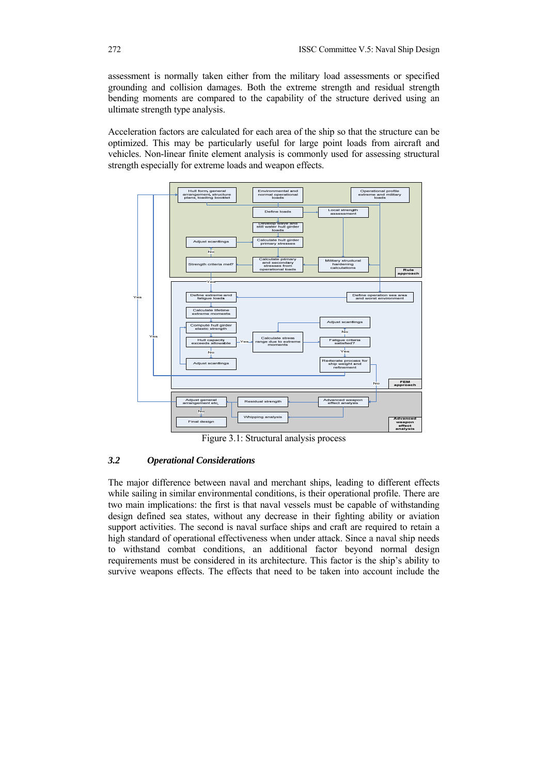assessment is normally taken either from the military load assessments or specified grounding and collision damages. Both the extreme strength and residual strength bending moments are compared to the capability of the structure derived using an ultimate strength type analysis.

Acceleration factors are calculated for each area of the ship so that the structure can be optimized. This may be particularly useful for large point loads from aircraft and vehicles. Non-linear finite element analysis is commonly used for assessing structural strength especially for extreme loads and weapon effects.



Figure 3.1: Structural analysis process

# *3.2 Operational Considerations*

The major difference between naval and merchant ships, leading to different effects while sailing in similar environmental conditions, is their operational profile. There are two main implications: the first is that naval vessels must be capable of withstanding design defined sea states, without any decrease in their fighting ability or aviation support activities. The second is naval surface ships and craft are required to retain a high standard of operational effectiveness when under attack. Since a naval ship needs to withstand combat conditions, an additional factor beyond normal design requirements must be considered in its architecture. This factor is the ship's ability to survive weapons effects. The effects that need to be taken into account include the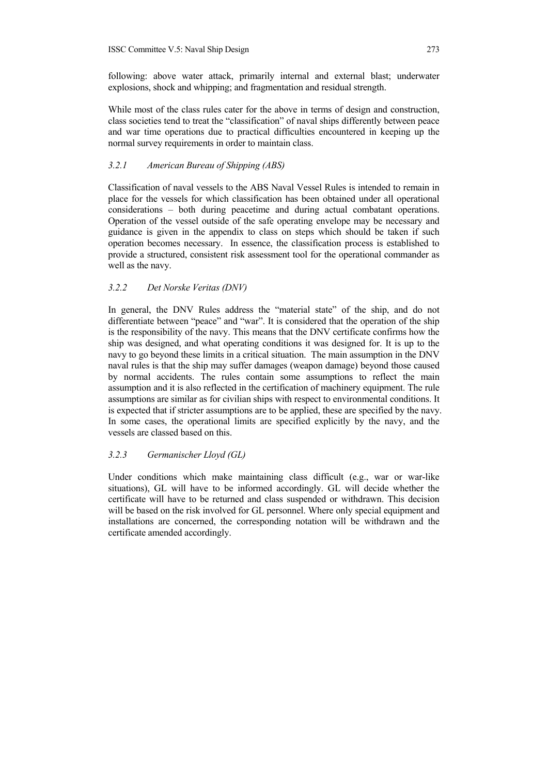following: above water attack, primarily internal and external blast; underwater explosions, shock and whipping; and fragmentation and residual strength.

While most of the class rules cater for the above in terms of design and construction, class societies tend to treat the "classification" of naval ships differently between peace and war time operations due to practical difficulties encountered in keeping up the normal survey requirements in order to maintain class.

## *3.2.1 American Bureau of Shipping (ABS)*

Classification of naval vessels to the ABS Naval Vessel Rules is intended to remain in place for the vessels for which classification has been obtained under all operational considerations – both during peacetime and during actual combatant operations. Operation of the vessel outside of the safe operating envelope may be necessary and guidance is given in the appendix to class on steps which should be taken if such operation becomes necessary. In essence, the classification process is established to provide a structured, consistent risk assessment tool for the operational commander as well as the navy.

# *3.2.2 Det Norske Veritas (DNV)*

In general, the DNV Rules address the "material state" of the ship, and do not differentiate between "peace" and "war". It is considered that the operation of the ship is the responsibility of the navy. This means that the DNV certificate confirms how the ship was designed, and what operating conditions it was designed for. It is up to the navy to go beyond these limits in a critical situation. The main assumption in the DNV naval rules is that the ship may suffer damages (weapon damage) beyond those caused by normal accidents. The rules contain some assumptions to reflect the main assumption and it is also reflected in the certification of machinery equipment. The rule assumptions are similar as for civilian ships with respect to environmental conditions. It is expected that if stricter assumptions are to be applied, these are specified by the navy. In some cases, the operational limits are specified explicitly by the navy, and the vessels are classed based on this.

#### *3.2.3 Germanischer Lloyd (GL)*

Under conditions which make maintaining class difficult (e.g., war or war-like situations), GL will have to be informed accordingly. GL will decide whether the certificate will have to be returned and class suspended or withdrawn. This decision will be based on the risk involved for GL personnel. Where only special equipment and installations are concerned, the corresponding notation will be withdrawn and the certificate amended accordingly.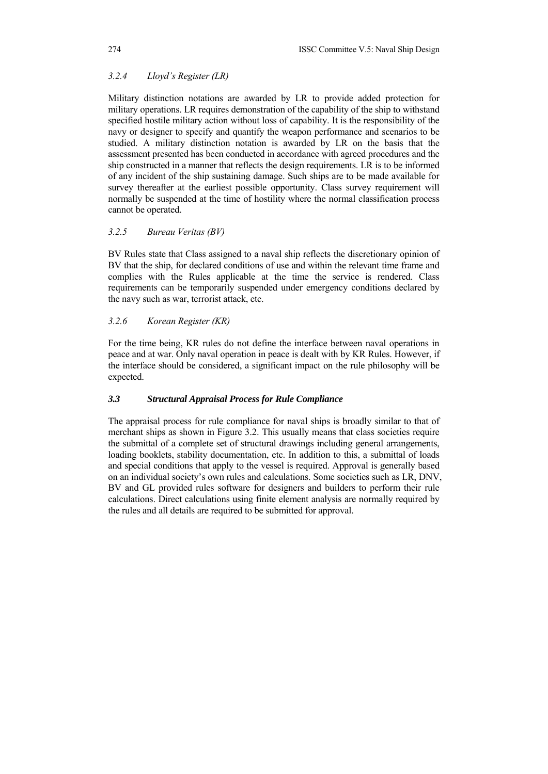# *3.2.4 Lloyd's Register (LR)*

Military distinction notations are awarded by LR to provide added protection for military operations. LR requires demonstration of the capability of the ship to withstand specified hostile military action without loss of capability. It is the responsibility of the navy or designer to specify and quantify the weapon performance and scenarios to be studied. A military distinction notation is awarded by LR on the basis that the assessment presented has been conducted in accordance with agreed procedures and the ship constructed in a manner that reflects the design requirements. LR is to be informed of any incident of the ship sustaining damage. Such ships are to be made available for survey thereafter at the earliest possible opportunity. Class survey requirement will normally be suspended at the time of hostility where the normal classification process cannot be operated.

#### *3.2.5 Bureau Veritas (BV)*

BV Rules state that Class assigned to a naval ship reflects the discretionary opinion of BV that the ship, for declared conditions of use and within the relevant time frame and complies with the Rules applicable at the time the service is rendered. Class requirements can be temporarily suspended under emergency conditions declared by the navy such as war, terrorist attack, etc.

### *3.2.6 Korean Register (KR)*

For the time being, KR rules do not define the interface between naval operations in peace and at war. Only naval operation in peace is dealt with by KR Rules. However, if the interface should be considered, a significant impact on the rule philosophy will be expected.

#### *3.3 Structural Appraisal Process for Rule Compliance*

The appraisal process for rule compliance for naval ships is broadly similar to that of merchant ships as shown in Figure 3.2. This usually means that class societies require the submittal of a complete set of structural drawings including general arrangements, loading booklets, stability documentation, etc. In addition to this, a submittal of loads and special conditions that apply to the vessel is required. Approval is generally based on an individual society's own rules and calculations. Some societies such as LR, DNV, BV and GL provided rules software for designers and builders to perform their rule calculations. Direct calculations using finite element analysis are normally required by the rules and all details are required to be submitted for approval.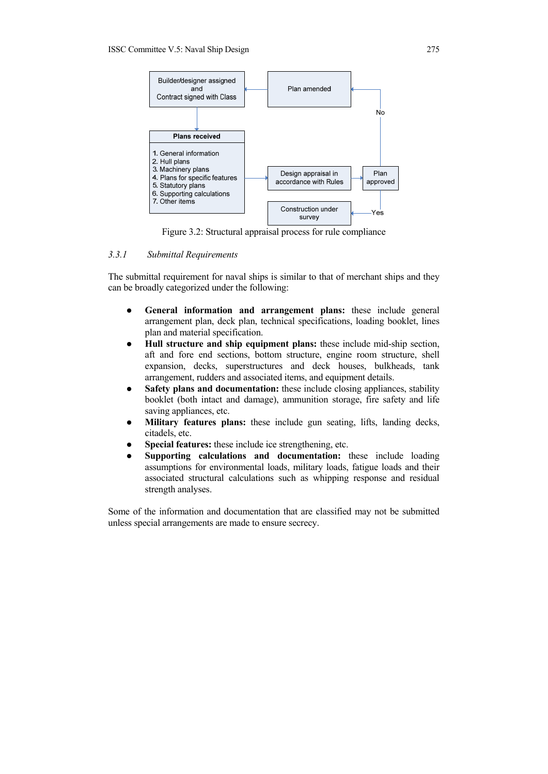

Figure 3.2: Structural appraisal process for rule compliance

#### *3.3.1 Submittal Requirements*

The submittal requirement for naval ships is similar to that of merchant ships and they can be broadly categorized under the following:

- **•** General information and arrangement plans: these include general arrangement plan, deck plan, technical specifications, loading booklet, lines plan and material specification.
- Hull structure and ship equipment plans: these include mid-ship section, aft and fore end sections, bottom structure, engine room structure, shell expansion, decks, superstructures and deck houses, bulkheads, tank arrangement, rudders and associated items, and equipment details.
- Safety plans and documentation: these include closing appliances, stability booklet (both intact and damage), ammunition storage, fire safety and life saving appliances, etc.
- Military features plans: these include gun seating, lifts, landing decks, citadels, etc.
- **•** Special features: these include ice strengthening, etc.
- **•** Supporting calculations and documentation: these include loading assumptions for environmental loads, military loads, fatigue loads and their associated structural calculations such as whipping response and residual strength analyses.

Some of the information and documentation that are classified may not be submitted unless special arrangements are made to ensure secrecy.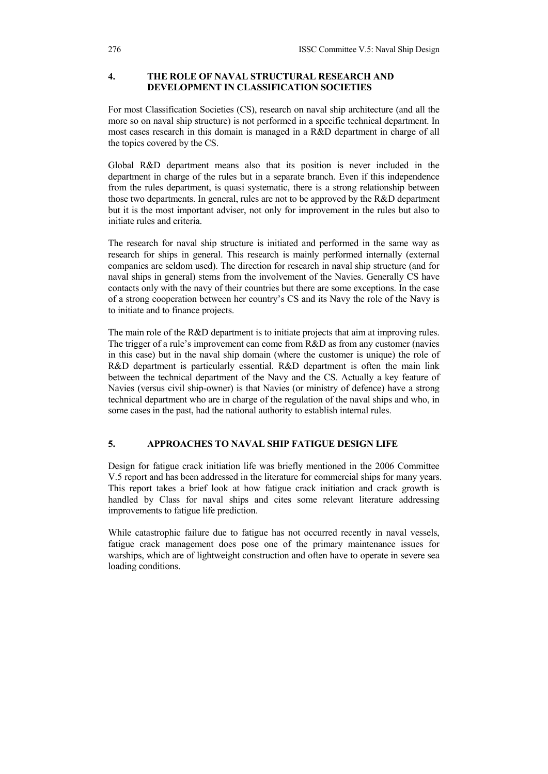# **4. THE ROLE OF NAVAL STRUCTURAL RESEARCH AND DEVELOPMENT IN CLASSIFICATION SOCIETIES**

For most Classification Societies (CS), research on naval ship architecture (and all the more so on naval ship structure) is not performed in a specific technical department. In most cases research in this domain is managed in a R&D department in charge of all the topics covered by the CS.

Global R&D department means also that its position is never included in the department in charge of the rules but in a separate branch. Even if this independence from the rules department, is quasi systematic, there is a strong relationship between those two departments. In general, rules are not to be approved by the R&D department but it is the most important adviser, not only for improvement in the rules but also to initiate rules and criteria.

The research for naval ship structure is initiated and performed in the same way as research for ships in general. This research is mainly performed internally (external companies are seldom used). The direction for research in naval ship structure (and for naval ships in general) stems from the involvement of the Navies. Generally CS have contacts only with the navy of their countries but there are some exceptions. In the case of a strong cooperation between her country's CS and its Navy the role of the Navy is to initiate and to finance projects.

The main role of the R&D department is to initiate projects that aim at improving rules. The trigger of a rule's improvement can come from R&D as from any customer (navies in this case) but in the naval ship domain (where the customer is unique) the role of R&D department is particularly essential. R&D department is often the main link between the technical department of the Navy and the CS. Actually a key feature of Navies (versus civil ship-owner) is that Navies (or ministry of defence) have a strong technical department who are in charge of the regulation of the naval ships and who, in some cases in the past, had the national authority to establish internal rules.

# **5. APPROACHES TO NAVAL SHIP FATIGUE DESIGN LIFE**

Design for fatigue crack initiation life was briefly mentioned in the 2006 Committee V.5 report and has been addressed in the literature for commercial ships for many years. This report takes a brief look at how fatigue crack initiation and crack growth is handled by Class for naval ships and cites some relevant literature addressing improvements to fatigue life prediction.

While catastrophic failure due to fatigue has not occurred recently in naval vessels, fatigue crack management does pose one of the primary maintenance issues for warships, which are of lightweight construction and often have to operate in severe sea loading conditions.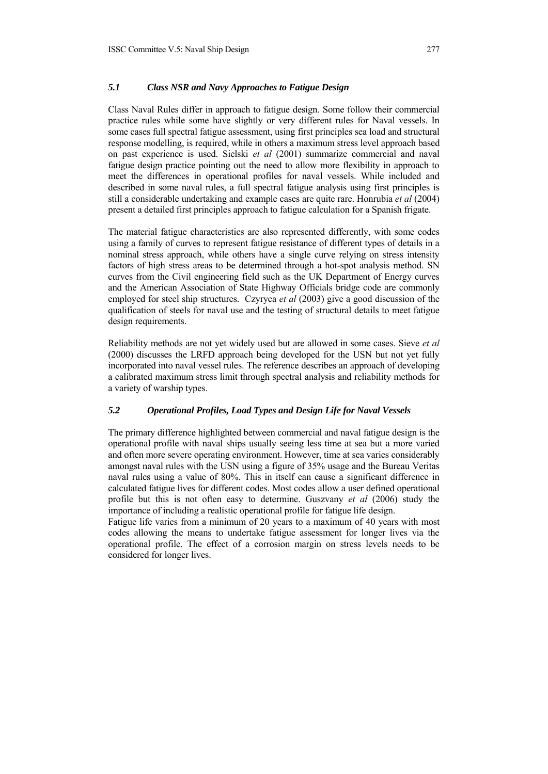# *5.1 Class NSR and Navy Approaches to Fatigue Design*

Class Naval Rules differ in approach to fatigue design. Some follow their commercial practice rules while some have slightly or very different rules for Naval vessels. In some cases full spectral fatigue assessment, using first principles sea load and structural response modelling, is required, while in others a maximum stress level approach based on past experience is used. Sielski *et al* (2001) summarize commercial and naval fatigue design practice pointing out the need to allow more flexibility in approach to meet the differences in operational profiles for naval vessels. While included and described in some naval rules, a full spectral fatigue analysis using first principles is still a considerable undertaking and example cases are quite rare. Honrubia *et al* (2004) present a detailed first principles approach to fatigue calculation for a Spanish frigate.

The material fatigue characteristics are also represented differently, with some codes using a family of curves to represent fatigue resistance of different types of details in a nominal stress approach, while others have a single curve relying on stress intensity factors of high stress areas to be determined through a hot-spot analysis method. SN curves from the Civil engineering field such as the UK Department of Energy curves and the American Association of State Highway Officials bridge code are commonly employed for steel ship structures. Czyryca *et al* (2003) give a good discussion of the qualification of steels for naval use and the testing of structural details to meet fatigue design requirements.

Reliability methods are not yet widely used but are allowed in some cases. Sieve *et al* (2000) discusses the LRFD approach being developed for the USN but not yet fully incorporated into naval vessel rules. The reference describes an approach of developing a calibrated maximum stress limit through spectral analysis and reliability methods for a variety of warship types.

#### *5.2 Operational Profiles, Load Types and Design Life for Naval Vessels*

The primary difference highlighted between commercial and naval fatigue design is the operational profile with naval ships usually seeing less time at sea but a more varied and often more severe operating environment. However, time at sea varies considerably amongst naval rules with the USN using a figure of 35% usage and the Bureau Veritas naval rules using a value of 80%. This in itself can cause a significant difference in calculated fatigue lives for different codes. Most codes allow a user defined operational profile but this is not often easy to determine. Guszvany *et al* (2006) study the importance of including a realistic operational profile for fatigue life design.

Fatigue life varies from a minimum of 20 years to a maximum of 40 years with most codes allowing the means to undertake fatigue assessment for longer lives via the operational profile. The effect of a corrosion margin on stress levels needs to be considered for longer lives.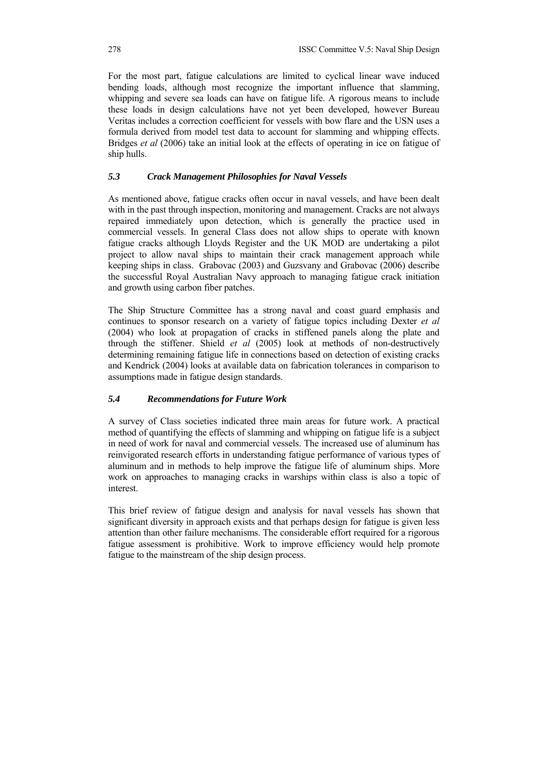For the most part, fatigue calculations are limited to cyclical linear wave induced bending loads, although most recognize the important influence that slamming, whipping and severe sea loads can have on fatigue life. A rigorous means to include these loads in design calculations have not yet been developed, however Bureau Veritas includes a correction coefficient for vessels with bow flare and the USN uses a formula derived from model test data to account for slamming and whipping effects. Bridges *et al* (2006) take an initial look at the effects of operating in ice on fatigue of ship hulls.

# *5.3 Crack Management Philosophies for Naval Vessels*

As mentioned above, fatigue cracks often occur in naval vessels, and have been dealt with in the past through inspection, monitoring and management. Cracks are not always repaired immediately upon detection, which is generally the practice used in commercial vessels. In general Class does not allow ships to operate with known fatigue cracks although Lloyds Register and the UK MOD are undertaking a pilot project to allow naval ships to maintain their crack management approach while keeping ships in class. Grabovac (2003) and Guzsvany and Grabovac (2006) describe the successful Royal Australian Navy approach to managing fatigue crack initiation and growth using carbon fiber patches.

The Ship Structure Committee has a strong naval and coast guard emphasis and continues to sponsor research on a variety of fatigue topics including Dexter *et al* (2004) who look at propagation of cracks in stiffened panels along the plate and through the stiffener. Shield *et al* (2005) look at methods of non-destructively determining remaining fatigue life in connections based on detection of existing cracks and Kendrick (2004) looks at available data on fabrication tolerances in comparison to assumptions made in fatigue design standards.

### *5.4 Recommendations for Future Work*

A survey of Class societies indicated three main areas for future work. A practical method of quantifying the effects of slamming and whipping on fatigue life is a subject in need of work for naval and commercial vessels. The increased use of aluminum has reinvigorated research efforts in understanding fatigue performance of various types of aluminum and in methods to help improve the fatigue life of aluminum ships. More work on approaches to managing cracks in warships within class is also a topic of interest.

This brief review of fatigue design and analysis for naval vessels has shown that significant diversity in approach exists and that perhaps design for fatigue is given less attention than other failure mechanisms. The considerable effort required for a rigorous fatigue assessment is prohibitive. Work to improve efficiency would help promote fatigue to the mainstream of the ship design process.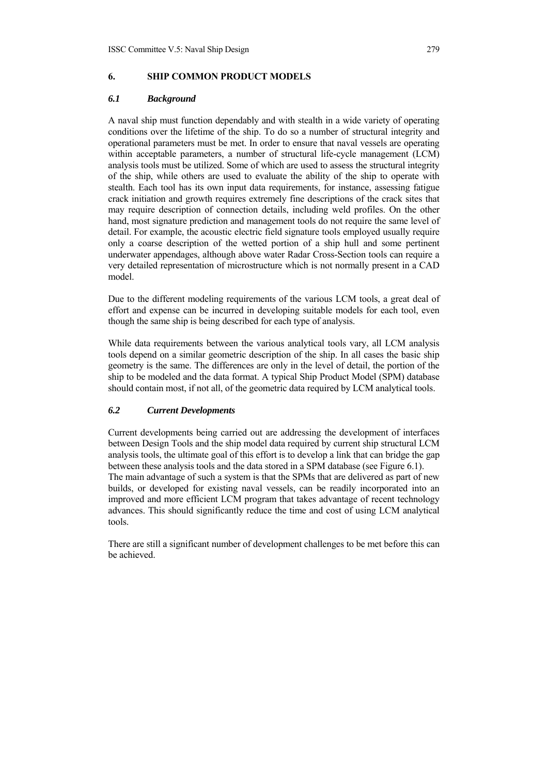# **6. SHIP COMMON PRODUCT MODELS**

#### *6.1 Background*

A naval ship must function dependably and with stealth in a wide variety of operating conditions over the lifetime of the ship. To do so a number of structural integrity and operational parameters must be met. In order to ensure that naval vessels are operating within acceptable parameters, a number of structural life-cycle management (LCM) analysis tools must be utilized. Some of which are used to assess the structural integrity of the ship, while others are used to evaluate the ability of the ship to operate with stealth. Each tool has its own input data requirements, for instance, assessing fatigue crack initiation and growth requires extremely fine descriptions of the crack sites that may require description of connection details, including weld profiles. On the other hand, most signature prediction and management tools do not require the same level of detail. For example, the acoustic electric field signature tools employed usually require only a coarse description of the wetted portion of a ship hull and some pertinent underwater appendages, although above water Radar Cross-Section tools can require a very detailed representation of microstructure which is not normally present in a CAD model.

Due to the different modeling requirements of the various LCM tools, a great deal of effort and expense can be incurred in developing suitable models for each tool, even though the same ship is being described for each type of analysis.

While data requirements between the various analytical tools vary, all LCM analysis tools depend on a similar geometric description of the ship. In all cases the basic ship geometry is the same. The differences are only in the level of detail, the portion of the ship to be modeled and the data format. A typical Ship Product Model (SPM) database should contain most, if not all, of the geometric data required by LCM analytical tools.

#### *6.2 Current Developments*

Current developments being carried out are addressing the development of interfaces between Design Tools and the ship model data required by current ship structural LCM analysis tools, the ultimate goal of this effort is to develop a link that can bridge the gap between these analysis tools and the data stored in a SPM database (see Figure 6.1). The main advantage of such a system is that the SPMs that are delivered as part of new builds, or developed for existing naval vessels, can be readily incorporated into an improved and more efficient LCM program that takes advantage of recent technology advances. This should significantly reduce the time and cost of using LCM analytical tools.

There are still a significant number of development challenges to be met before this can be achieved.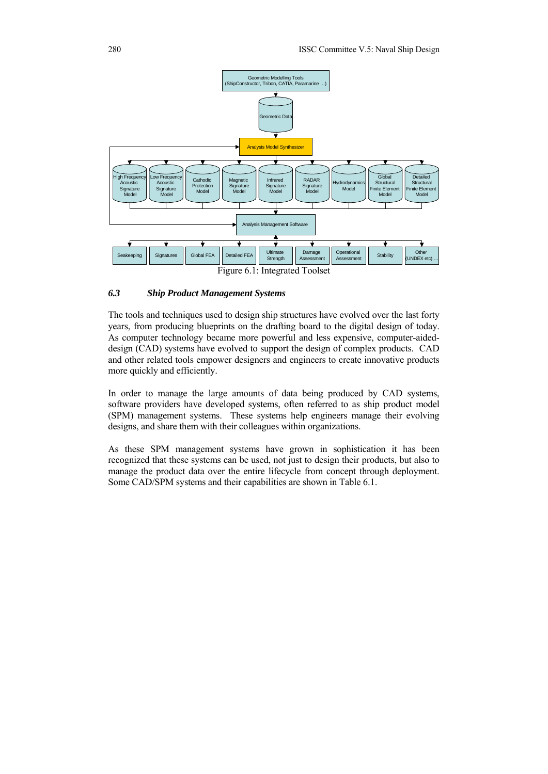

## *6.3 Ship Product Management Systems*

The tools and techniques used to design ship structures have evolved over the last forty years, from producing blueprints on the drafting board to the digital design of today. As computer technology became more powerful and less expensive, computer-aideddesign (CAD) systems have evolved to support the design of complex products. CAD and other related tools empower designers and engineers to create innovative products more quickly and efficiently.

In order to manage the large amounts of data being produced by CAD systems, software providers have developed systems, often referred to as ship product model (SPM) management systems. These systems help engineers manage their evolving designs, and share them with their colleagues within organizations.

As these SPM management systems have grown in sophistication it has been recognized that these systems can be used, not just to design their products, but also to manage the product data over the entire lifecycle from concept through deployment. Some CAD/SPM systems and their capabilities are shown in Table 6.1.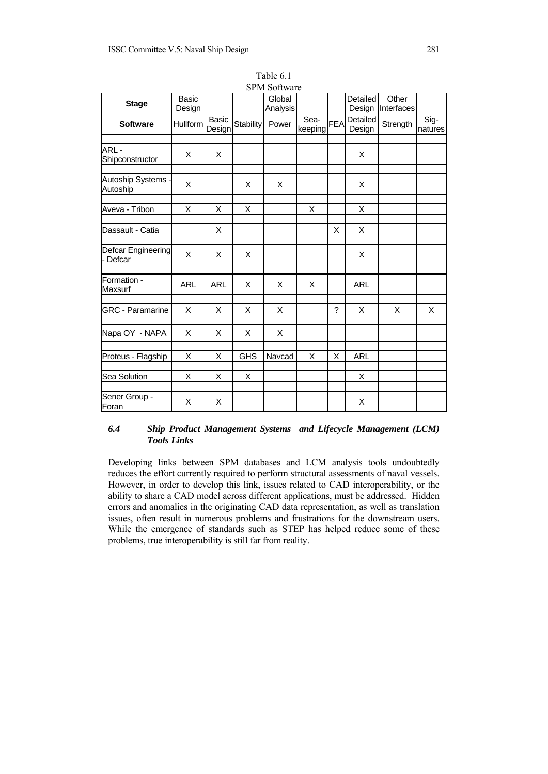| <b>Stage</b>                   | <b>Basic</b><br>Design |                 |                  | Global<br>Analysis |                 |             | <b>Detailed</b><br>Design | Other<br>Interfaces |                 |
|--------------------------------|------------------------|-----------------|------------------|--------------------|-----------------|-------------|---------------------------|---------------------|-----------------|
| <b>Software</b>                | Hullform               | Basic<br>Design | <b>Stability</b> | Power              | Sea-<br>keeping | <b>FEA</b>  | Detailed<br>Design        | Strength            | Sig-<br>natures |
| ARL-<br>Shipconstructor        | X                      | X               |                  |                    |                 |             | X                         |                     |                 |
| Autoship Systems -<br>Autoship | X                      |                 | X                | X                  |                 |             | X                         |                     |                 |
| Aveva - Tribon                 | X                      | X               | X                |                    | Χ               |             | X                         |                     |                 |
| Dassault - Catia               |                        | X               |                  |                    |                 | X           | X                         |                     |                 |
| Defcar Engineering<br>- Defcar | X                      | X               | X                |                    |                 |             | X                         |                     |                 |
| Formation -<br>Maxsurf         | <b>ARL</b>             | <b>ARL</b>      | X                | X                  | X               |             | <b>ARL</b>                |                     |                 |
| <b>GRC - Paramarine</b>        | X                      | X               | X                | X                  |                 | $\tilde{?}$ | X                         | X                   | X               |
| Napa OY - NAPA                 | X                      | X               | X                | X                  |                 |             |                           |                     |                 |
| Proteus - Flagship             | X                      | X               | <b>GHS</b>       | Navcad             | Χ               | X           | <b>ARL</b>                |                     |                 |
| Sea Solution                   | X                      | X               | X                |                    |                 |             | X                         |                     |                 |
| Sener Group -<br>Foran         | X                      | X               |                  |                    |                 |             | X                         |                     |                 |

Table 6.1 SPM Software

## *6.4 Ship Product Management Systems and Lifecycle Management (LCM) Tools Links*

Developing links between SPM databases and LCM analysis tools undoubtedly reduces the effort currently required to perform structural assessments of naval vessels. However, in order to develop this link, issues related to CAD interoperability, or the ability to share a CAD model across different applications, must be addressed. Hidden errors and anomalies in the originating CAD data representation, as well as translation issues, often result in numerous problems and frustrations for the downstream users. While the emergence of standards such as STEP has helped reduce some of these problems, true interoperability is still far from reality.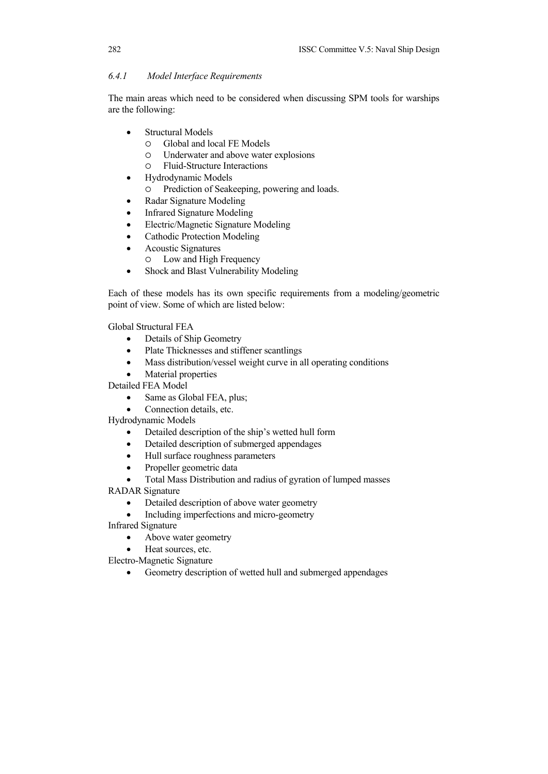# *6.4.1 Model Interface Requirements*

The main areas which need to be considered when discussing SPM tools for warships are the following:

- Structural Models
	- { Global and local FE Models
	- { Underwater and above water explosions
	- { Fluid-Structure Interactions
- Hydrodynamic Models
	- ${\circ}$  Prediction of Seakeeping, powering and loads.
- Radar Signature Modeling
- Infrared Signature Modeling
- Electric/Magnetic Signature Modeling
- Cathodic Protection Modeling
- Acoustic Signatures
	- { Low and High Frequency
- Shock and Blast Vulnerability Modeling

Each of these models has its own specific requirements from a modeling/geometric point of view. Some of which are listed below:

Global Structural FEA

- Details of Ship Geometry
- Plate Thicknesses and stiffener scantlings
- Mass distribution/vessel weight curve in all operating conditions
- Material properties

Detailed FEA Model

- Same as Global FEA, plus;
- Connection details, etc.

Hydrodynamic Models

- Detailed description of the ship's wetted hull form
- Detailed description of submerged appendages
- Hull surface roughness parameters
- Propeller geometric data
- Total Mass Distribution and radius of gyration of lumped masses

RADAR Signature

• Detailed description of above water geometry

• Including imperfections and micro-geometry

Infrared Signature

- Above water geometry
- Heat sources, etc.
- Electro-Magnetic Signature
	- Geometry description of wetted hull and submerged appendages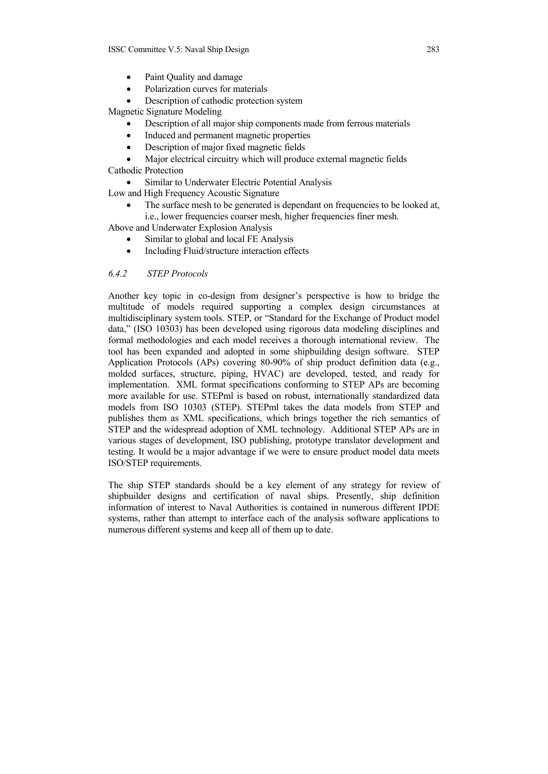- Paint Quality and damage
- Polarization curves for materials
- Description of cathodic protection system

Magnetic Signature Modeling

- Description of all major ship components made from ferrous materials
- Induced and permanent magnetic properties
- Description of major fixed magnetic fields

• Major electrical circuitry which will produce external magnetic fields

Cathodic Protection

Similar to Underwater Electric Potential Analysis

Low and High Frequency Acoustic Signature

The surface mesh to be generated is dependant on frequencies to be looked at, i.e., lower frequencies coarser mesh, higher frequencies finer mesh.

Above and Underwater Explosion Analysis

- Similar to global and local FE Analysis
- Including Fluid/structure interaction effects

# *6.4.2 STEP Protocols*

Another key topic in co-design from designer's perspective is how to bridge the multitude of models required supporting a complex design circumstances at multidisciplinary system tools. STEP, or "Standard for the Exchange of Product model data," (ISO 10303) has been developed using rigorous data modeling disciplines and formal methodologies and each model receives a thorough international review. The tool has been expanded and adopted in some shipbuilding design software. STEP Application Protocols (APs) covering 80-90% of ship product definition data (e.g., molded surfaces, structure, piping, HVAC) are developed, tested, and ready for implementation. XML format specifications conforming to STEP APs are becoming more available for use. STEPml is based on robust, internationally standardized data models from ISO 10303 (STEP). STEPml takes the data models from STEP and publishes them as XML specifications, which brings together the rich semantics of STEP and the widespread adoption of XML technology. Additional STEP APs are in various stages of development, ISO publishing, prototype translator development and testing. It would be a major advantage if we were to ensure product model data meets ISO/STEP requirements.

The ship STEP standards should be a key element of any strategy for review of shipbuilder designs and certification of naval ships. Presently, ship definition information of interest to Naval Authorities is contained in numerous different IPDE systems, rather than attempt to interface each of the analysis software applications to numerous different systems and keep all of them up to date.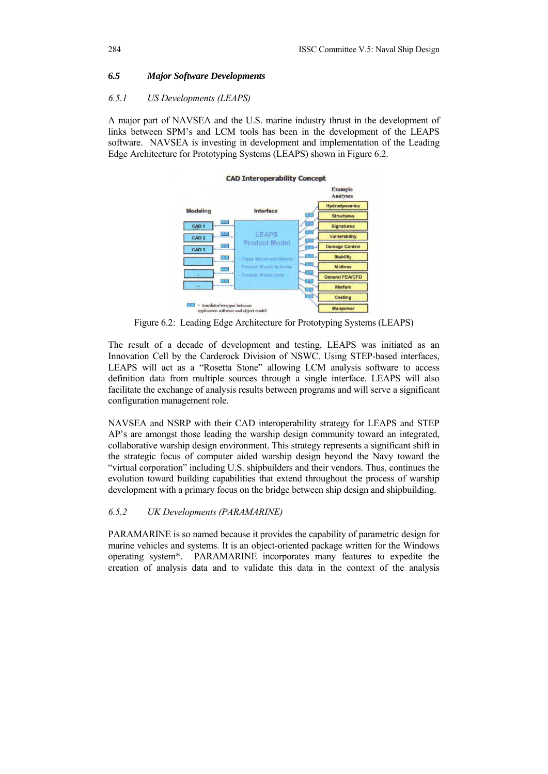### *6.5 Major Software Developments*

#### *6.5.1 US Developments (LEAPS)*

A major part of NAVSEA and the U.S. marine industry thrust in the development of links between SPM's and LCM tools has been in the development of the LEAPS software. NAVSEA is investing in development and implementation of the Leading Edge Architecture for Prototyping Systems (LEAPS) shown in Figure 6.2.



Figure 6.2: Leading Edge Architecture for Prototyping Systems (LEAPS)

The result of a decade of development and testing, LEAPS was initiated as an Innovation Cell by the Carderock Division of NSWC. Using STEP-based interfaces, LEAPS will act as a "Rosetta Stone" allowing LCM analysis software to access definition data from multiple sources through a single interface. LEAPS will also facilitate the exchange of analysis results between programs and will serve a significant configuration management role.

NAVSEA and NSRP with their CAD interoperability strategy for LEAPS and STEP AP's are amongst those leading the warship design community toward an integrated, collaborative warship design environment. This strategy represents a significant shift in the strategic focus of computer aided warship design beyond the Navy toward the "virtual corporation" including U.S. shipbuilders and their vendors. Thus, continues the evolution toward building capabilities that extend throughout the process of warship development with a primary focus on the bridge between ship design and shipbuilding.

# *6.5.2 UK Developments (PARAMARINE)*

PARAMARINE is so named because it provides the capability of parametric design for marine vehicles and systems. It is an object-oriented package written for the Windows operating system\*. PARAMARINE incorporates many features to expedite the creation of analysis data and to validate this data in the context of the analysis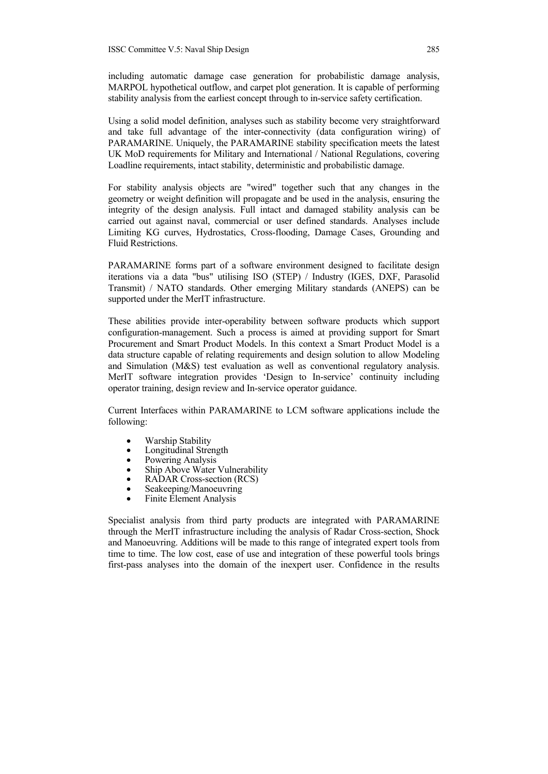including automatic damage case generation for probabilistic damage analysis, MARPOL hypothetical outflow, and carpet plot generation. It is capable of performing stability analysis from the earliest concept through to in-service safety certification.

Using a solid model definition, analyses such as stability become very straightforward and take full advantage of the inter-connectivity (data configuration wiring) of PARAMARINE. Uniquely, the PARAMARINE stability specification meets the latest UK MoD requirements for Military and International / National Regulations, covering Loadline requirements, intact stability, deterministic and probabilistic damage.

For stability analysis objects are "wired" together such that any changes in the geometry or weight definition will propagate and be used in the analysis, ensuring the integrity of the design analysis. Full intact and damaged stability analysis can be carried out against naval, commercial or user defined standards. Analyses include Limiting KG curves, Hydrostatics, Cross-flooding, Damage Cases, Grounding and Fluid Restrictions.

PARAMARINE forms part of a software environment designed to facilitate design iterations via a data "bus" utilising ISO (STEP) / Industry (IGES, DXF, Parasolid Transmit) / NATO standards. Other emerging Military standards (ANEPS) can be supported under the MerIT infrastructure.

These abilities provide inter-operability between software products which support configuration-management. Such a process is aimed at providing support for Smart Procurement and Smart Product Models. In this context a Smart Product Model is a data structure capable of relating requirements and design solution to allow Modeling and Simulation (M&S) test evaluation as well as conventional regulatory analysis. MerIT software integration provides 'Design to In-service' continuity including operator training, design review and In-service operator guidance.

Current Interfaces within PARAMARINE to LCM software applications include the following:

- Warship Stability
- Longitudinal Strength
- Powering Analysis
- Ship Above Water Vulnerability
- RADAR Cross-section (RCS)
- Seakeeping/Manoeuvring
- Finite Element Analysis

Specialist analysis from third party products are integrated with PARAMARINE through the MerIT infrastructure including the analysis of Radar Cross-section, Shock and Manoeuvring. Additions will be made to this range of integrated expert tools from time to time. The low cost, ease of use and integration of these powerful tools brings first-pass analyses into the domain of the inexpert user. Confidence in the results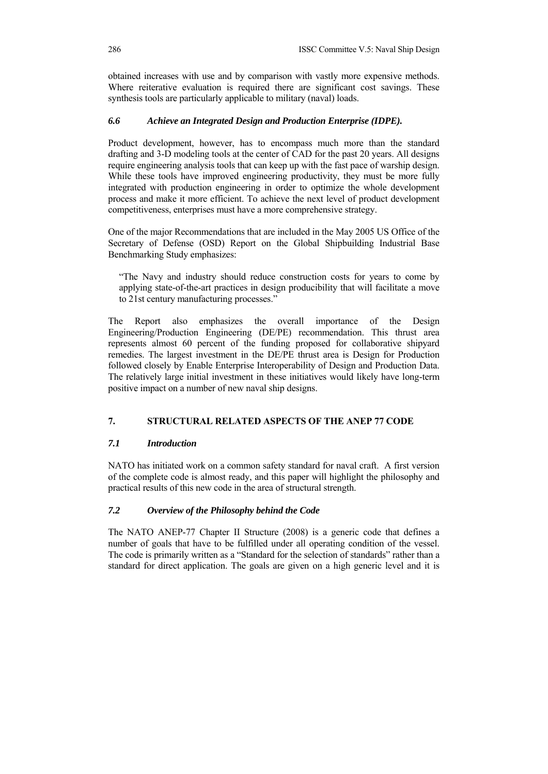obtained increases with use and by comparison with vastly more expensive methods. Where reiterative evaluation is required there are significant cost savings. These synthesis tools are particularly applicable to military (naval) loads.

# *6.6 Achieve an Integrated Design and Production Enterprise (IDPE).*

Product development, however, has to encompass much more than the standard drafting and 3-D modeling tools at the center of CAD for the past 20 years. All designs require engineering analysis tools that can keep up with the fast pace of warship design. While these tools have improved engineering productivity, they must be more fully integrated with production engineering in order to optimize the whole development process and make it more efficient. To achieve the next level of product development competitiveness, enterprises must have a more comprehensive strategy.

One of the major Recommendations that are included in the May 2005 US Office of the Secretary of Defense (OSD) Report on the Global Shipbuilding Industrial Base Benchmarking Study emphasizes:

"The Navy and industry should reduce construction costs for years to come by applying state-of-the-art practices in design producibility that will facilitate a move to 21st century manufacturing processes."

The Report also emphasizes the overall importance of the Design Engineering/Production Engineering (DE/PE) recommendation. This thrust area represents almost 60 percent of the funding proposed for collaborative shipyard remedies. The largest investment in the DE/PE thrust area is Design for Production followed closely by Enable Enterprise Interoperability of Design and Production Data. The relatively large initial investment in these initiatives would likely have long-term positive impact on a number of new naval ship designs.

# **7. STRUCTURAL RELATED ASPECTS OF THE ANEP 77 CODE**

### *7.1 Introduction*

NATO has initiated work on a common safety standard for naval craft. A first version of the complete code is almost ready, and this paper will highlight the philosophy and practical results of this new code in the area of structural strength.

# *7.2 Overview of the Philosophy behind the Code*

The NATO ANEP-77 Chapter II Structure (2008) is a generic code that defines a number of goals that have to be fulfilled under all operating condition of the vessel. The code is primarily written as a "Standard for the selection of standards" rather than a standard for direct application. The goals are given on a high generic level and it is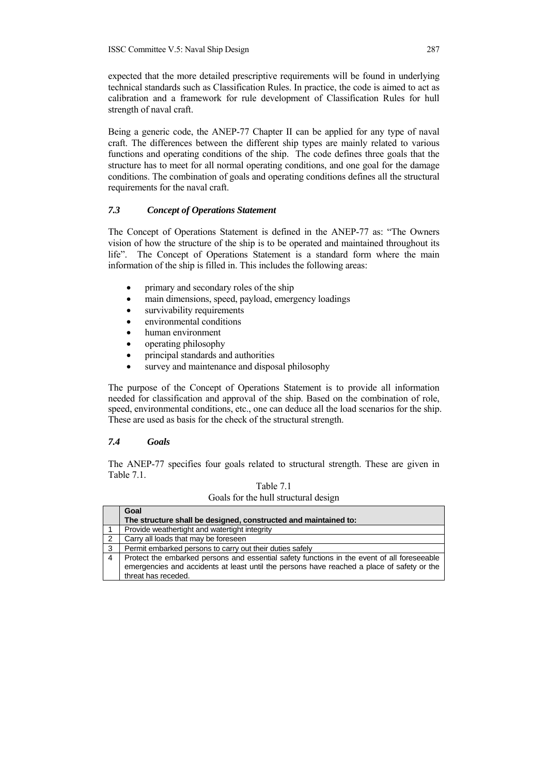expected that the more detailed prescriptive requirements will be found in underlying technical standards such as Classification Rules. In practice, the code is aimed to act as calibration and a framework for rule development of Classification Rules for hull strength of naval craft.

Being a generic code, the ANEP-77 Chapter II can be applied for any type of naval craft. The differences between the different ship types are mainly related to various functions and operating conditions of the ship. The code defines three goals that the structure has to meet for all normal operating conditions, and one goal for the damage conditions. The combination of goals and operating conditions defines all the structural requirements for the naval craft.

### *7.3 Concept of Operations Statement*

The Concept of Operations Statement is defined in the ANEP-77 as: "The Owners vision of how the structure of the ship is to be operated and maintained throughout its life". The Concept of Operations Statement is a standard form where the main information of the ship is filled in. This includes the following areas:

- primary and secondary roles of the ship
- main dimensions, speed, payload, emergency loadings
- survivability requirements
- environmental conditions
- human environment
- operating philosophy
- principal standards and authorities
- survey and maintenance and disposal philosophy

The purpose of the Concept of Operations Statement is to provide all information needed for classification and approval of the ship. Based on the combination of role, speed, environmental conditions, etc., one can deduce all the load scenarios for the ship. These are used as basis for the check of the structural strength.

# *7.4 Goals*

The ANEP-77 specifies four goals related to structural strength. These are given in Table 7.1.

|                | Goal                                                                                                                                                                                                             |  |  |  |  |  |  |
|----------------|------------------------------------------------------------------------------------------------------------------------------------------------------------------------------------------------------------------|--|--|--|--|--|--|
|                | The structure shall be designed, constructed and maintained to:                                                                                                                                                  |  |  |  |  |  |  |
|                | Provide weathertight and watertight integrity                                                                                                                                                                    |  |  |  |  |  |  |
| $\overline{2}$ | Carry all loads that may be foreseen                                                                                                                                                                             |  |  |  |  |  |  |
| -3             | Permit embarked persons to carry out their duties safely                                                                                                                                                         |  |  |  |  |  |  |
| -4             | Protect the embarked persons and essential safety functions in the event of all foreseeable<br>emergencies and accidents at least until the persons have reached a place of safety or the<br>threat has receded. |  |  |  |  |  |  |

| Table 7.1                            |  |
|--------------------------------------|--|
| Goals for the hull structural design |  |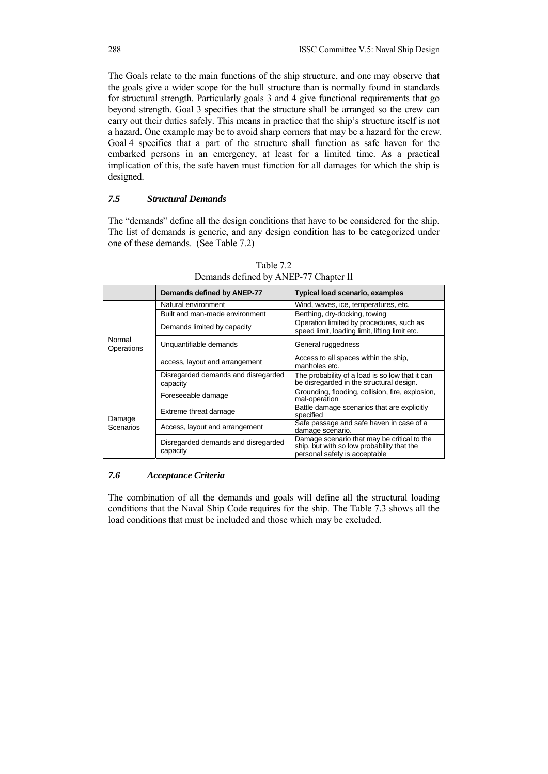The Goals relate to the main functions of the ship structure, and one may observe that the goals give a wider scope for the hull structure than is normally found in standards for structural strength. Particularly goals 3 and 4 give functional requirements that go beyond strength. Goal 3 specifies that the structure shall be arranged so the crew can carry out their duties safely. This means in practice that the ship's structure itself is not a hazard. One example may be to avoid sharp corners that may be a hazard for the crew. Goal 4 specifies that a part of the structure shall function as safe haven for the embarked persons in an emergency, at least for a limited time. As a practical implication of this, the safe haven must function for all damages for which the ship is designed.

#### *7.5 Structural Demands*

The "demands" define all the design conditions that have to be considered for the ship. The list of demands is generic, and any design condition has to be categorized under one of these demands. (See Table 7.2)

|                      | Demands defined by ANEP-77                      | <b>Typical load scenario, examples</b>                                                                                     |
|----------------------|-------------------------------------------------|----------------------------------------------------------------------------------------------------------------------------|
|                      | Natural environment                             | Wind, waves, ice, temperatures, etc.                                                                                       |
|                      | Built and man-made environment                  | Berthing, dry-docking, towing                                                                                              |
|                      | Demands limited by capacity                     | Operation limited by procedures, such as<br>speed limit, loading limit, lifting limit etc.                                 |
| Normal<br>Operations | Unquantifiable demands                          | General ruggedness                                                                                                         |
|                      | access, layout and arrangement                  | Access to all spaces within the ship,<br>manholes etc.                                                                     |
|                      | Disregarded demands and disregarded<br>capacity | The probability of a load is so low that it can<br>be disregarded in the structural design.                                |
|                      | Foreseeable damage                              | Grounding, flooding, collision, fire, explosion,<br>mal-operation                                                          |
| Damage               | Extreme threat damage                           | Battle damage scenarios that are explicitly<br>specified                                                                   |
| Scenarios            | Access, layout and arrangement                  | Safe passage and safe haven in case of a<br>damage scenario.                                                               |
|                      | Disregarded demands and disregarded<br>capacity | Damage scenario that may be critical to the<br>ship, but with so low probability that the<br>personal safety is acceptable |

Table 7.2 Demands defined by ANEP-77 Chapter II

#### *7.6 Acceptance Criteria*

The combination of all the demands and goals will define all the structural loading conditions that the Naval Ship Code requires for the ship. The Table 7.3 shows all the load conditions that must be included and those which may be excluded.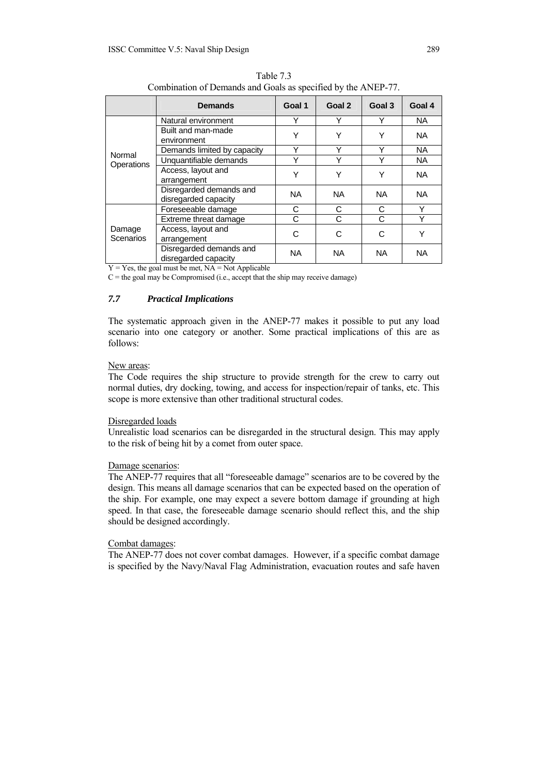| Completion of Bernards and Gods as specified by the $\lambda$ in the $\lambda$ |                                                 |           |           |           |           |  |  |
|--------------------------------------------------------------------------------|-------------------------------------------------|-----------|-----------|-----------|-----------|--|--|
|                                                                                | <b>Demands</b>                                  | Goal 1    | Goal 2    | Goal 3    | Goal 4    |  |  |
|                                                                                | Natural environment                             | Y         | Υ         | Y         | <b>NA</b> |  |  |
|                                                                                | Built and man-made<br>environment               | Υ         | Y         | Y         | <b>NA</b> |  |  |
|                                                                                | Demands limited by capacity                     | Υ         | Υ         | Υ         | <b>NA</b> |  |  |
| Normal                                                                         | Unquantifiable demands                          | Υ         | Υ         | Y         | <b>NA</b> |  |  |
| Operations                                                                     | Access, layout and<br>arrangement               | Υ         | Υ         | Υ         | <b>NA</b> |  |  |
|                                                                                | Disregarded demands and<br>disregarded capacity | NA.       | <b>NA</b> | NA.       | <b>NA</b> |  |  |
|                                                                                | Foreseeable damage                              | C         | С         | C         | Υ         |  |  |
|                                                                                | Extreme threat damage                           | C         | C         | C         | Υ         |  |  |
| Damage<br><b>Scenarios</b>                                                     | Access, layout and<br>arrangement               | С         | С         | C         | Υ         |  |  |
|                                                                                | Disregarded demands and<br>disregarded capacity | <b>NA</b> | <b>NA</b> | <b>NA</b> | <b>NA</b> |  |  |

Table 7.3 Combination of Demands and Goals as specified by the ANEP-77.

 $Y = Yes$ , the goal must be met,  $NA = Not$  Applicable

 $C$  = the goal may be Compromised (i.e., accept that the ship may receive damage)

# *7.7 Practical Implications*

The systematic approach given in the ANEP-77 makes it possible to put any load scenario into one category or another. Some practical implications of this are as follows:

#### New areas:

The Code requires the ship structure to provide strength for the crew to carry out normal duties, dry docking, towing, and access for inspection/repair of tanks, etc. This scope is more extensive than other traditional structural codes.

#### Disregarded loads

Unrealistic load scenarios can be disregarded in the structural design. This may apply to the risk of being hit by a comet from outer space.

#### Damage scenarios:

The ANEP-77 requires that all "foreseeable damage" scenarios are to be covered by the design. This means all damage scenarios that can be expected based on the operation of the ship. For example, one may expect a severe bottom damage if grounding at high speed. In that case, the foreseeable damage scenario should reflect this, and the ship should be designed accordingly.

#### Combat damages:

The ANEP-77 does not cover combat damages. However, if a specific combat damage is specified by the Navy/Naval Flag Administration, evacuation routes and safe haven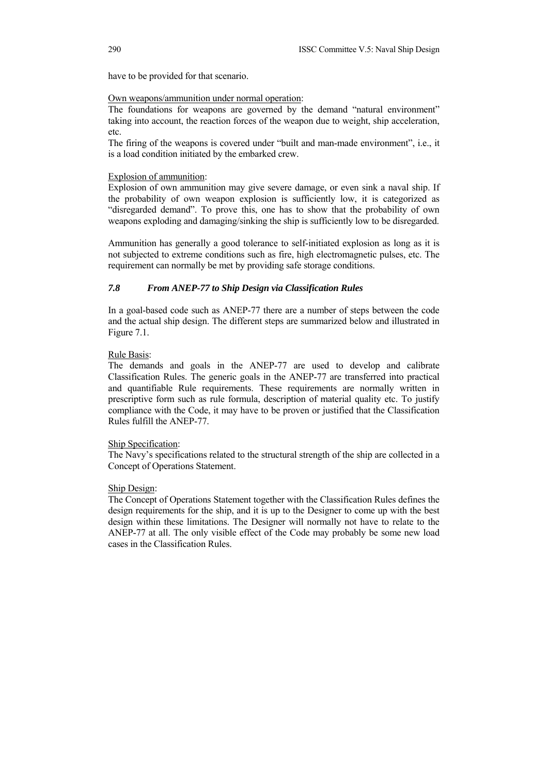have to be provided for that scenario.

# Own weapons/ammunition under normal operation:

The foundations for weapons are governed by the demand "natural environment" taking into account, the reaction forces of the weapon due to weight, ship acceleration, etc.

The firing of the weapons is covered under "built and man-made environment", i.e., it is a load condition initiated by the embarked crew.

### Explosion of ammunition:

Explosion of own ammunition may give severe damage, or even sink a naval ship. If the probability of own weapon explosion is sufficiently low, it is categorized as "disregarded demand". To prove this, one has to show that the probability of own weapons exploding and damaging/sinking the ship is sufficiently low to be disregarded.

Ammunition has generally a good tolerance to self-initiated explosion as long as it is not subjected to extreme conditions such as fire, high electromagnetic pulses, etc. The requirement can normally be met by providing safe storage conditions.

# *7.8 From ANEP-77 to Ship Design via Classification Rules*

In a goal-based code such as ANEP-77 there are a number of steps between the code and the actual ship design. The different steps are summarized below and illustrated in Figure 7.1.

#### Rule Basis:

The demands and goals in the ANEP-77 are used to develop and calibrate Classification Rules. The generic goals in the ANEP-77 are transferred into practical and quantifiable Rule requirements. These requirements are normally written in prescriptive form such as rule formula, description of material quality etc. To justify compliance with the Code, it may have to be proven or justified that the Classification Rules fulfill the ANEP-77.

### Ship Specification:

The Navy's specifications related to the structural strength of the ship are collected in a Concept of Operations Statement.

### Ship Design:

The Concept of Operations Statement together with the Classification Rules defines the design requirements for the ship, and it is up to the Designer to come up with the best design within these limitations. The Designer will normally not have to relate to the ANEP-77 at all. The only visible effect of the Code may probably be some new load cases in the Classification Rules.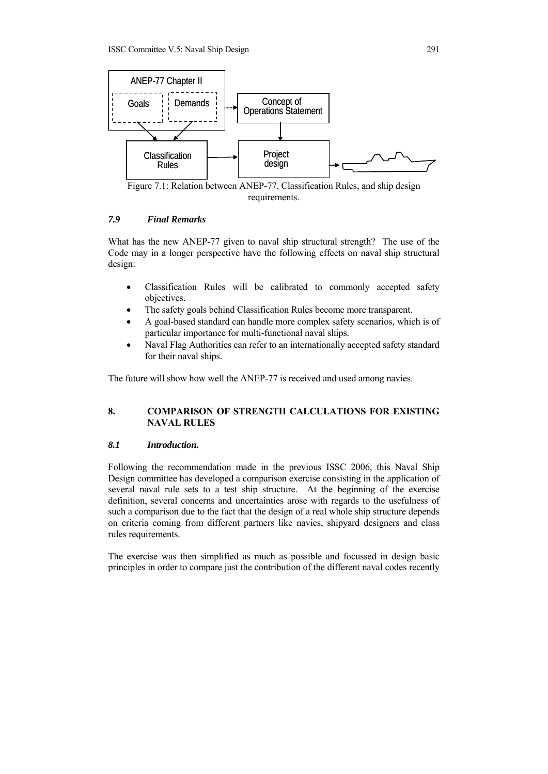

Figure 7.1: Relation between ANEP-77, Classification Rules, and ship design requirements.

## *7.9 Final Remarks*

What has the new ANEP-77 given to naval ship structural strength? The use of the Code may in a longer perspective have the following effects on naval ship structural design:

- Classification Rules will be calibrated to commonly accepted safety objectives.
- The safety goals behind Classification Rules become more transparent.
- A goal-based standard can handle more complex safety scenarios, which is of particular importance for multi-functional naval ships.
- Naval Flag Authorities can refer to an internationally accepted safety standard for their naval ships.

The future will show how well the ANEP-77 is received and used among navies.

# **8. COMPARISON OF STRENGTH CALCULATIONS FOR EXISTING NAVAL RULES**

### *8.1 Introduction.*

Following the recommendation made in the previous ISSC 2006, this Naval Ship Design committee has developed a comparison exercise consisting in the application of several naval rule sets to a test ship structure. At the beginning of the exercise definition, several concerns and uncertainties arose with regards to the usefulness of such a comparison due to the fact that the design of a real whole ship structure depends on criteria coming from different partners like navies, shipyard designers and class rules requirements.

The exercise was then simplified as much as possible and focussed in design basic principles in order to compare just the contribution of the different naval codes recently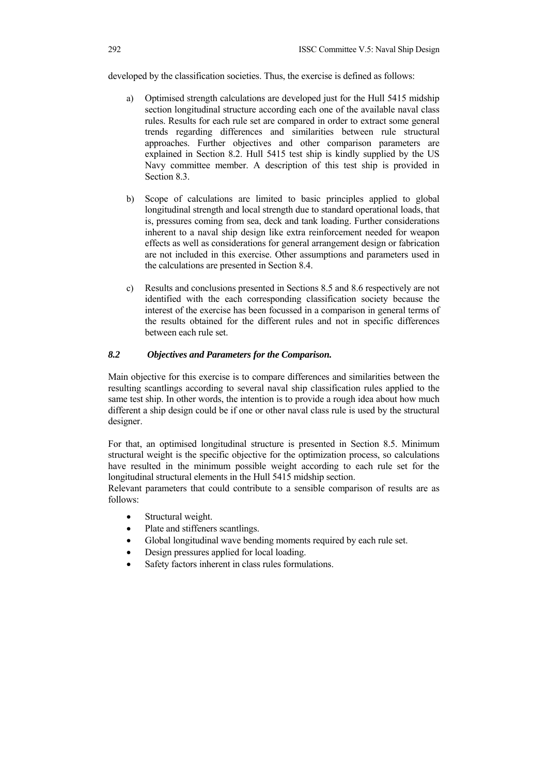developed by the classification societies. Thus, the exercise is defined as follows:

- a) Optimised strength calculations are developed just for the Hull 5415 midship section longitudinal structure according each one of the available naval class rules. Results for each rule set are compared in order to extract some general trends regarding differences and similarities between rule structural approaches. Further objectives and other comparison parameters are explained in Section 8.2. Hull 5415 test ship is kindly supplied by the US Navy committee member. A description of this test ship is provided in Section 8.3.
- b) Scope of calculations are limited to basic principles applied to global longitudinal strength and local strength due to standard operational loads, that is, pressures coming from sea, deck and tank loading. Further considerations inherent to a naval ship design like extra reinforcement needed for weapon effects as well as considerations for general arrangement design or fabrication are not included in this exercise. Other assumptions and parameters used in the calculations are presented in Section 8.4.
- c) Results and conclusions presented in Sections 8.5 and 8.6 respectively are not identified with the each corresponding classification society because the interest of the exercise has been focussed in a comparison in general terms of the results obtained for the different rules and not in specific differences between each rule set.

# *8.2 Objectives and Parameters for the Comparison.*

Main objective for this exercise is to compare differences and similarities between the resulting scantlings according to several naval ship classification rules applied to the same test ship. In other words, the intention is to provide a rough idea about how much different a ship design could be if one or other naval class rule is used by the structural designer.

For that, an optimised longitudinal structure is presented in Section 8.5. Minimum structural weight is the specific objective for the optimization process, so calculations have resulted in the minimum possible weight according to each rule set for the longitudinal structural elements in the Hull 5415 midship section.

Relevant parameters that could contribute to a sensible comparison of results are as follows:

- Structural weight.
- Plate and stiffeners scantlings.
- Global longitudinal wave bending moments required by each rule set.
- Design pressures applied for local loading.
- Safety factors inherent in class rules formulations.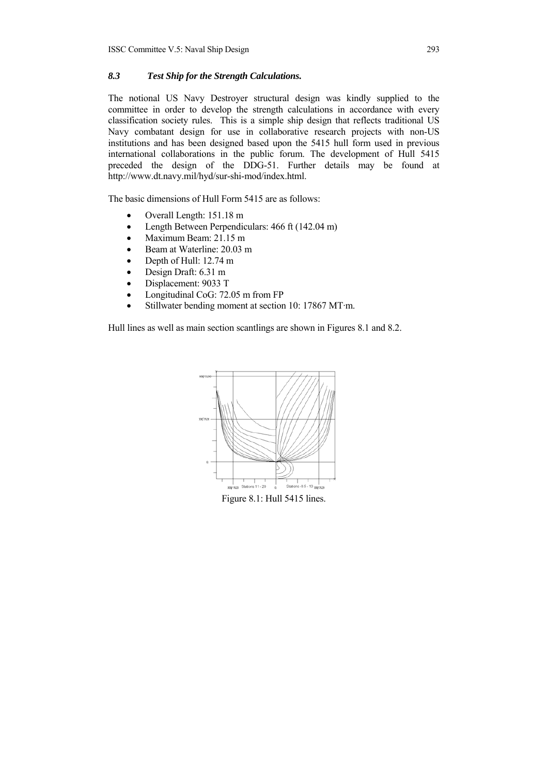# *8.3 Test Ship for the Strength Calculations.*

The notional US Navy Destroyer structural design was kindly supplied to the committee in order to develop the strength calculations in accordance with every classification society rules. This is a simple ship design that reflects traditional US Navy combatant design for use in collaborative research projects with non-US institutions and has been designed based upon the 5415 hull form used in previous international collaborations in the public forum. The development of Hull 5415 preceded the design of the DDG-51. Further details may be found at http://www.dt.navy.mil/hyd/sur-shi-mod/index.html.

The basic dimensions of Hull Form 5415 are as follows:

- Overall Length: 151.18 m
- Length Between Perpendiculars: 466 ft (142.04 m)
- Maximum Beam: 21.15 m
- Beam at Waterline: 20.03 m
- Depth of Hull: 12.74 m
- Design Draft: 6.31 m
- Displacement: 9033 T
- Longitudinal CoG: 72.05 m from FP
- Stillwater bending moment at section 10: 17867 MT·m.

Hull lines as well as main section scantlings are shown in Figures 8.1 and 8.2.



Figure 8.1: Hull 5415 lines.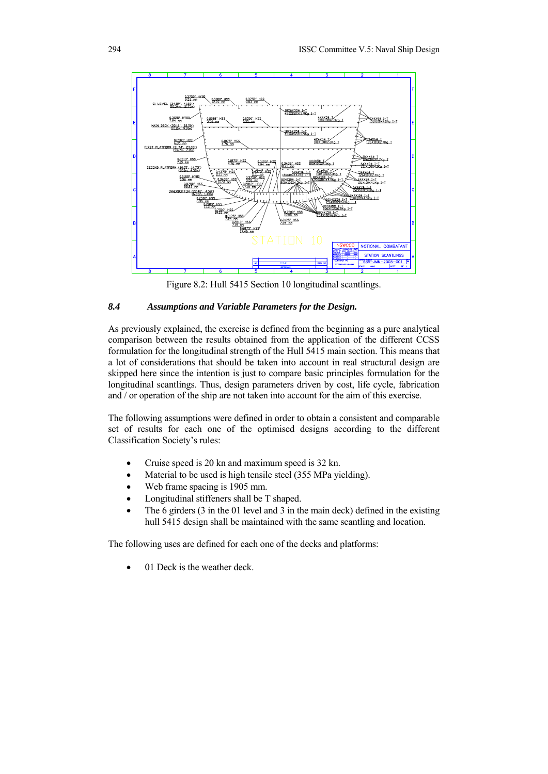

Figure 8.2: Hull 5415 Section 10 longitudinal scantlings.

# *8.4 Assumptions and Variable Parameters for the Design.*

As previously explained, the exercise is defined from the beginning as a pure analytical comparison between the results obtained from the application of the different CCSS formulation for the longitudinal strength of the Hull 5415 main section. This means that a lot of considerations that should be taken into account in real structural design are skipped here since the intention is just to compare basic principles formulation for the longitudinal scantlings. Thus, design parameters driven by cost, life cycle, fabrication and / or operation of the ship are not taken into account for the aim of this exercise.

The following assumptions were defined in order to obtain a consistent and comparable set of results for each one of the optimised designs according to the different Classification Society's rules:

- Cruise speed is 20 kn and maximum speed is 32 kn.
- Material to be used is high tensile steel (355 MPa yielding).
- Web frame spacing is 1905 mm.
- Longitudinal stiffeners shall be T shaped.
- The 6 girders (3 in the 01 level and 3 in the main deck) defined in the existing hull 5415 design shall be maintained with the same scantling and location.

The following uses are defined for each one of the decks and platforms:

01 Deck is the weather deck.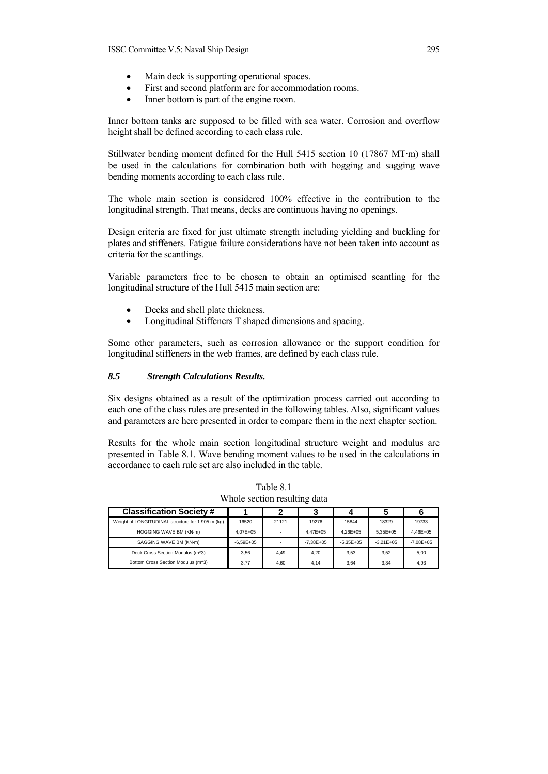- Main deck is supporting operational spaces.
- First and second platform are for accommodation rooms.
- Inner bottom is part of the engine room.

Inner bottom tanks are supposed to be filled with sea water. Corrosion and overflow height shall be defined according to each class rule.

Stillwater bending moment defined for the Hull 5415 section 10 (17867 MT·m) shall be used in the calculations for combination both with hogging and sagging wave bending moments according to each class rule.

The whole main section is considered 100% effective in the contribution to the longitudinal strength. That means, decks are continuous having no openings.

Design criteria are fixed for just ultimate strength including yielding and buckling for plates and stiffeners. Fatigue failure considerations have not been taken into account as criteria for the scantlings.

Variable parameters free to be chosen to obtain an optimised scantling for the longitudinal structure of the Hull 5415 main section are:

- Decks and shell plate thickness.
- Longitudinal Stiffeners T shaped dimensions and spacing.

Some other parameters, such as corrosion allowance or the support condition for longitudinal stiffeners in the web frames, are defined by each class rule.

### *8.5 Strength Calculations Results.*

Six designs obtained as a result of the optimization process carried out according to each one of the class rules are presented in the following tables. Also, significant values and parameters are here presented in order to compare them in the next chapter section.

Results for the whole main section longitudinal structure weight and modulus are presented in Table 8.1. Wave bending moment values to be used in the calculations in accordance to each rule set are also included in the table.

| <b>Classification Society #</b>                   |               |                          |               |               |               |               |
|---------------------------------------------------|---------------|--------------------------|---------------|---------------|---------------|---------------|
| Weight of LONGITUDINAL structure for 1.905 m (kg) | 16520         | 21121                    | 19276         | 15844         | 18329         | 19733         |
| HOGGING WAVE BM (KN-m)                            | 4.07E+05      | $\overline{\phantom{a}}$ | 4.47E+05      | $4.26E + 05$  | $5.35E + 05$  | 4.46E+05      |
| SAGGING WAVE BM (KN-m)                            | $-6.59E + 05$ | $\overline{\phantom{a}}$ | $-7.38E + 05$ | $-5.35E + 05$ | $-3.21E + 05$ | $-7.08E + 05$ |
| Deck Cross Section Modulus (m^3)                  | 3.56          | 4.49                     | 4.20          | 3.53          | 3.52          | 5.00          |
| Bottom Cross Section Modulus (m^3)                | 3.77          | 4.60                     | 4.14          | 3.64          | 3.34          | 4.93          |

Table 8.1 Whole section resulting data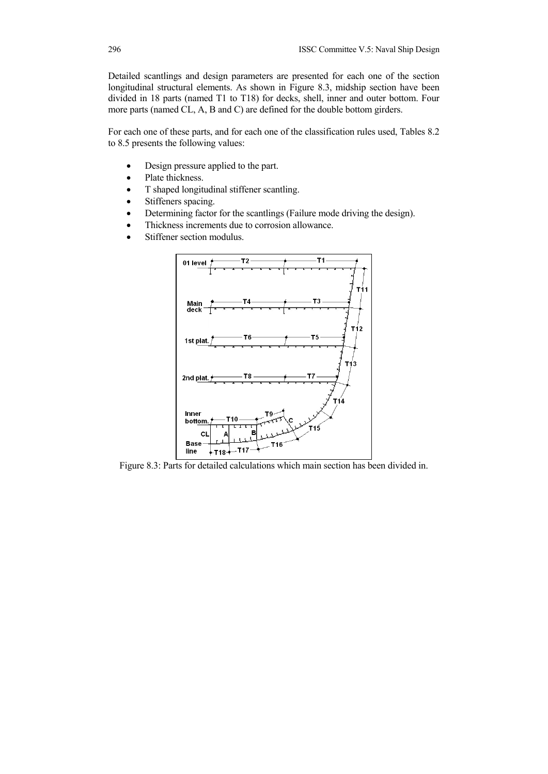Detailed scantlings and design parameters are presented for each one of the section longitudinal structural elements. As shown in Figure 8.3, midship section have been divided in 18 parts (named T1 to T18) for decks, shell, inner and outer bottom. Four more parts (named CL, A, B and C) are defined for the double bottom girders.

For each one of these parts, and for each one of the classification rules used, Tables 8.2 to 8.5 presents the following values:

- Design pressure applied to the part.
- Plate thickness.
- T shaped longitudinal stiffener scantling.
- Stiffeners spacing.
- Determining factor for the scantlings (Failure mode driving the design).
- Thickness increments due to corrosion allowance.
- Stiffener section modulus.



Figure 8.3: Parts for detailed calculations which main section has been divided in.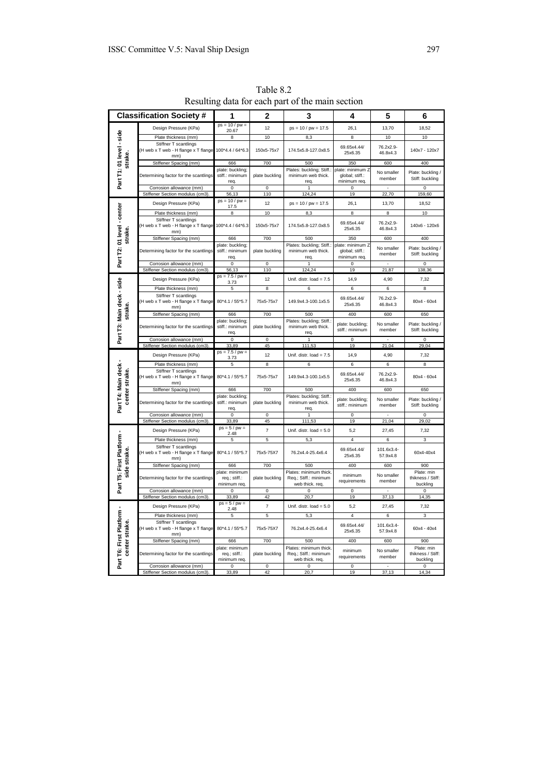| <b>Classification Society#</b>             |                                                                      | 1                                               | 2                       | 3                                                                 | 4                                                   | 5                      | 6                                           |
|--------------------------------------------|----------------------------------------------------------------------|-------------------------------------------------|-------------------------|-------------------------------------------------------------------|-----------------------------------------------------|------------------------|---------------------------------------------|
|                                            | Design Pressure (KPa)                                                | $ps = 10 / pw =$<br>20.67                       | 12                      | $ps = 10 / pw = 17.5$                                             | 26,1                                                | 13,70                  | 18,52                                       |
|                                            | Plate thickness (mm)                                                 | 8                                               | 10                      | 8,3                                                               | 8                                                   | 10                     | 10                                          |
| Part T1: 01 level - side                   | Stiffner T scantlings<br>H web x T web - H flange x T flange<br>mm)  | 100*4.4 / 64*6.3                                | 150x5-75x7              | 174.5x5.8-127.0x8.5                                               | 69.65x4.44/<br>25x6.35                              | 76.2x2.9-<br>46.8x4.3  | 140x7 - 120x7                               |
| strake                                     | Stiffener Spacing (mm)                                               | 666                                             | 700                     | 500                                                               | 350                                                 | 600                    | 400                                         |
|                                            | Determining factor for the scantlings                                | plate: buckling;<br>stiff.: minimum<br>req.     | plate buckling          | Plates: buckling; Stiff.:<br>minimum web thick.<br>req.           | plate: minimum 2<br>global; stiff.:<br>minimum req. | No smaller<br>member   | Plate: buckling /<br>Stiff: buckling        |
|                                            | Corrosion allowance (mm)                                             | $\mathsf 0$                                     | $\mathbf 0$             |                                                                   | $\Omega$                                            |                        | $\mathbf 0$                                 |
|                                            | Stiffener Section modulus (cm3)                                      | 56.13<br>$ps = 10 / pw =$                       | 110                     | 124.24                                                            | 19                                                  | 22,70                  | 159,60                                      |
|                                            | Design Pressure (KPa)                                                | 17.5                                            | 12                      | $ps = 10 / pw = 17.5$                                             | 26,1                                                | 13,70                  | 18,52                                       |
|                                            | Plate thickness (mm)                                                 | 8                                               | 10                      | 8,3                                                               | 8                                                   | 8                      | 10                                          |
| Part T2: 01 level - center<br>strake.      | Stiffner T scantlings<br>H web x T web - H flange x T flange<br>mm)  | 100*4.4 / 64*6.3                                | 150x5-75x7              | 174.5x5.8-127.0x8.5                                               | 69.65x4.44/<br>25x6.35                              | 76.2x2.9-<br>46.8x4.3  | 140x6 - 120x6                               |
|                                            | Stiffener Spacing (mm)                                               | 666                                             | 700                     | 500                                                               | 350                                                 | 600                    | 400                                         |
|                                            | Determining factor for the scantlings                                | plate: buckling;<br>stiff.: minimum<br>req.     | plate buckling          | Plates: buckling; Stiff.:<br>minimum web thick.<br>req.           | plate: minimum Z<br>global; stiff.:<br>minimum req. | No smaller<br>member   | Plate: buckling<br>Stiff: buckling          |
|                                            | Corrosion allowance (mm)                                             | 0                                               | $\pmb{0}$               |                                                                   | 0                                                   |                        | 0                                           |
|                                            | Stiffener Section modulus (cm3)                                      | 56,13<br>$ps = 7.5 / pw =$                      | 110                     | 124,24                                                            | 19                                                  | 21,87                  | 138,36                                      |
|                                            | Design Pressure (KPa)                                                | 3.73                                            | 12                      | Unif. distr. $load = 7.5$                                         | 14,9                                                | 4,90                   | 7,32                                        |
|                                            | Plate thickness (mm)<br>Stiffner T scantlings                        | 5                                               | 8                       | 6                                                                 | 6                                                   | 6                      | 8                                           |
| strake                                     | H web x T web - H flange x T flange<br>mm)                           | 80*4.1 / 55*5.7                                 | 75x5-75x7               | 149.9x4.3-100.1x5.5                                               | 69.65x4.44/<br>25x6.35                              | 76.2x2.9-<br>46.8x4.3  | 80x4 - 60x4                                 |
|                                            | Stiffener Spacing (mm)                                               | 666                                             | 700                     | 500                                                               | 400                                                 | 600                    | 650                                         |
| Part T3: Main deck - side                  | Determining factor for the scantlings                                | plate: buckling;<br>stiff.: minimum<br>req.     | plate buckling          | Plates: buckling; Stiff.<br>minimum web thick.<br>req.            | plate: buckling;<br>stiff.: minimum                 | No smaller<br>member   | Plate: buckling<br>Stiff: buckling          |
|                                            | Corrosion allowance (mm)<br>Stiffener Section modulus (cm3).         | $\mathsf 0$<br>33,89                            | $\mathsf 0$<br>45       | 1<br>111,53                                                       | 0<br>19                                             | 21,04                  | $\mathsf 0$<br>29,04                        |
|                                            | Design Pressure (KPa)                                                | $ps = 7.5 / pw =$                               | 12                      | Unif. distr. $load = 7.5$                                         | 14,9                                                | 4,90                   | 7,32                                        |
|                                            | Plate thickness (mm)                                                 | 3.73<br>5                                       | 8                       | 6                                                                 | 6                                                   | 6                      | 8                                           |
|                                            | Stiffner T scantlings<br>(H web x T web - H flange x T flange        | 80*4.1 / 55*5.7                                 | 75x5-75x7               | 149.9x4.3-100.1x5.5                                               | 69.65x4.44/<br>25x6.35                              | 76.2x2.9-<br>46.8x4.3  | 80x4 - 60x4                                 |
|                                            | mm)<br>Stiffener Spacing (mm)                                        | 666                                             | 700                     | 500                                                               | 400                                                 | 600                    | 650                                         |
| Part T4: Main deck -<br>center strake.     | Determining factor for the scantlings                                | plate: buckling;<br>stiff.: minimum<br>req.     | plate buckling          | Plates: buckling; Stiff.<br>minimum web thick.<br>rea.            | plate: buckling;<br>stiff.: minimum                 | No smaller<br>member   | Plate: buckling /<br>Stiff: buckling        |
|                                            | Corrosion allowance (mm)<br>Stiffener Section modulus (cm3).         | $\overline{0}$<br>33,89                         | $\overline{0}$<br>45    | 1<br>111,53                                                       | $\overline{0}$<br>19                                | 21,04                  | $\overline{0}$<br>29,02                     |
|                                            |                                                                      | $ps = 5 / pw =$                                 | $\overline{\mathbf{7}}$ |                                                                   |                                                     |                        |                                             |
|                                            | Design Pressure (KPa)                                                | 2.48<br>5                                       | 5                       | Unif. distr. $load = 5.0$                                         | 5,2<br>4                                            | 27,45<br>6             | 7,32                                        |
|                                            | Plate thickness (mm)<br>Stiffner T scantlings                        |                                                 |                         | 5,3                                                               |                                                     |                        | 3                                           |
| Part T5: First Platform -<br>side strake   | (H web x T web - H flange x T flange<br>mm)                          | 80*4.1 / 55*5.7                                 | 75x5-75X7               | 76.2x4.4-25.4x6.4                                                 | 69.65x4.44/<br>25x6.35                              | 101.6x3.4-<br>57.9x4.8 | 60x4-40x4                                   |
|                                            | Stiffener Spacing (mm)                                               | 666<br>plate: minimum                           | 700                     | 500<br>Plates: minimum thick.                                     | 400                                                 | 600                    | 900<br>Plate: min                           |
|                                            | Determining factor for the scantlings                                | req.; stiff.:<br>minimum req.                   | plate buckling          | Req.; Stiff.: minimum<br>web thick. req.                          | minimum<br>requirements                             | No smaller<br>member   | thikness / Stiff:<br>buckling               |
|                                            | Corrosion allowance (mm)<br>Stiffener Section modulus (cm3)          | $\Omega$<br>33.89                               | $\Omega$<br>42          | $\Omega$<br>20.7                                                  | $\Omega$<br>19                                      | 37,13                  | $\Omega$<br>14,35                           |
|                                            | Design Pressure (KPa)                                                | $ps = 5 / pw =$                                 | $\overline{7}$          | Unif. distr. $load = 5.0$                                         | 5,2                                                 | 27,45                  | 7,32                                        |
|                                            | Plate thickness (mm)                                                 | 2.48<br>5                                       | 5                       | 5,3                                                               | $\sqrt{4}$                                          | 6                      | 3                                           |
| Part T6: First Platform -<br>center strake | Stiffner T scantlings<br>(H web x T web - H flange x T flange<br>mm) | 80*4.1 / 55*5.7                                 | 75x5-75X7               | 76.2x4.4-25.4x6.4                                                 | 69.65x4.44/<br>25x6.35                              | 101.6x3.4-<br>57.9x4.8 | 60x4 - 40x4                                 |
|                                            | Stiffener Spacing (mm)                                               | 666                                             | 700                     | 500                                                               | 400                                                 | 600                    | 900                                         |
|                                            | Determining factor for the scantlings                                | plate: minimum<br>req.; stiff.:<br>minimum req. | plate buckling          | Plates: minimum thick<br>Req.; Stiff.: minimum<br>web thick. req. | minimum<br>requirements                             | No smaller<br>member   | Plate: min<br>thikness / Stiff:<br>buckling |
|                                            | Corrosion allowance (mm)                                             | 0                                               | $\overline{0}$          | $\Omega$                                                          | $\overline{0}$                                      |                        | $\Omega$                                    |
|                                            | Stiffener Section modulus (cm3)                                      | 33,89                                           | 42                      | 20,7                                                              | 19                                                  | 37,13                  | 14,34                                       |

Table 8.2 Resulting data for each part of the main section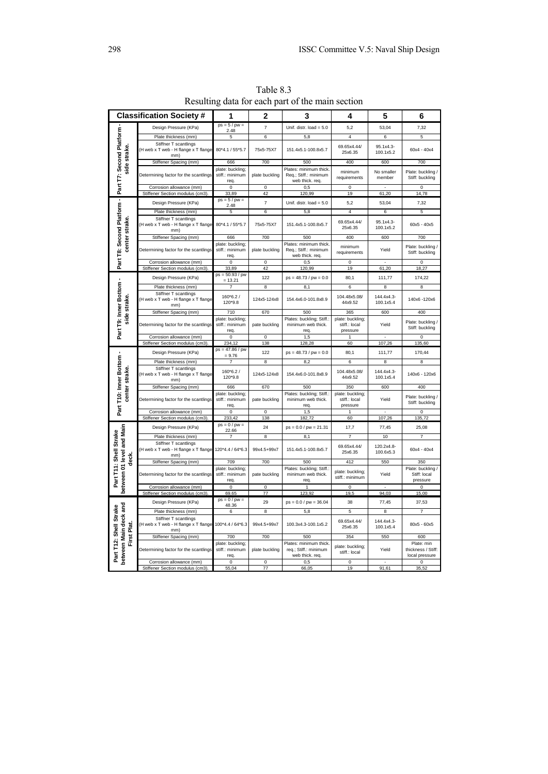| <b>Classification Society #</b>                                     |                                                                      | 1                                           | 2                                 | 3                                                                  | 4                                             | 5                       | 6                                             |
|---------------------------------------------------------------------|----------------------------------------------------------------------|---------------------------------------------|-----------------------------------|--------------------------------------------------------------------|-----------------------------------------------|-------------------------|-----------------------------------------------|
| Part T8: Second Platform - Part T7: Second Platform<br>side strake. | Design Pressure (KPa)                                                | $ps = 5 / pw =$<br>2.48                     | $\overline{7}$                    | Unif. distr. $load = 5.0$                                          | 5,2                                           | 53,04                   | 7,32                                          |
|                                                                     | Plate thickness (mm)                                                 | 5                                           | $6\overline{6}$                   | 5,8                                                                | 4                                             | 6                       | 5                                             |
|                                                                     | Stiffner T scantlings<br>(H web x T web - H flange x T flange<br>mm) | 80*4.1 / 55*5.7                             | 75x5-75X7                         | 151.4x5.1-100.8x5.7                                                | 69.65x4.44/<br>25x6.35                        | 95.1x4.3-<br>100.1x5.2  | $60x4 - 40x4$                                 |
|                                                                     | Stiffener Spacing (mm)                                               | 666                                         | 700                               | 500                                                                | 400                                           | 600                     | 700                                           |
|                                                                     | Determining factor for the scantlings                                | plate: buckling;<br>stiff.: minimum<br>req. | plate buckling                    | Plates: minimum thick<br>Req.; Stiff.: minimum<br>web thick. req.  | minimum<br>requirements                       | No smaller<br>member    | Plate: buckling /<br>Stiff: buckling          |
|                                                                     | Corrosion allowance (mm)                                             | $\mathsf 0$                                 | $\mathsf 0$                       | 0,5                                                                | $\mathsf 0$                                   | $\overline{a}$          | $\mathsf 0$                                   |
|                                                                     | Stiffener Section modulus (cm3).                                     | 33,89                                       | 42                                | 120,99                                                             | 19                                            | 61,20                   | 14,78                                         |
|                                                                     | Design Pressure (KPa)                                                | $ps = 5 / pw =$<br>2.48                     | $\overline{7}$                    | Unif. distr. $load = 5.0$                                          | 5,2                                           | 53,04                   | 7,32                                          |
|                                                                     | Plate thickness (mm)                                                 | 5                                           | 6                                 | 5,8                                                                | $\pmb{4}$                                     | 6                       | 5                                             |
| center strake.                                                      | Stiffner T scantlings<br>(H web x T web - H flange x T flange<br>mm) | 80*4.1 / 55*5.7                             | 75x5-75X7                         | 151.4x5.1-100.8x5.7                                                | 69.65x4.44/<br>25x6.35                        | 95.1x4.3-<br>100.1x5.2  | $60x5 - 40x5$                                 |
|                                                                     | Stiffener Spacing (mm)                                               | 666                                         | 700                               | 500                                                                | 400                                           | 600                     | 700                                           |
|                                                                     | Determining factor for the scantlings                                | plate: buckling;<br>stiff.: minimum<br>req. | plate buckling                    | Plates: minimum thick.<br>Req.; Stiff.: minimum<br>web thick. req. | minimum<br>requirements                       | Yield                   | Plate: buckling /<br>Stiff: buckling          |
|                                                                     | Corrosion allowance (mm)                                             | $\pmb{0}$<br>33.89                          | 0<br>42                           | 0,5<br>120,99                                                      | $\pmb{0}$<br>19                               | 61,20                   | $\overline{0}$                                |
|                                                                     | Stiffener Section modulus (cm3)                                      | $ps = 50.93 / pw$                           |                                   |                                                                    |                                               |                         | 18,27                                         |
|                                                                     | Design Pressure (KPa)                                                | $= 13.21$                                   | 122                               | $ps = 48.73 / pw = 0.0$                                            | 80,1                                          | 111,77                  | 174,22                                        |
|                                                                     | Plate thickness (mm)                                                 | 7                                           | $\overline{8}$                    | 8,1                                                                | $\overline{6}$                                | 8                       | 8                                             |
| Part T9: Inner Bottom -<br>side strake.                             | Stiffner T scantlings<br>(H web x T web - H flange x T flange<br>mm) | 160*6.2/<br>120*9.8                         | 124x5-124x8                       | 154.4x6.0-101.8x8.9                                                | 104.48x5.08/<br>44x9.52                       | 144.4x4.3-<br>100.1x5.4 | 140x6 - 120x6                                 |
|                                                                     | Stiffener Spacing (mm)                                               | 710                                         | 670                               | 500                                                                | 365                                           | 600                     | 400                                           |
|                                                                     | Determining factor for the scantlings                                | plate: buckling;<br>stiff.: minimum<br>req. | pate buckling                     | Plates: buckling; Stiff.:<br>minimum web thick.<br>req.            | plate: buckling;<br>stiff.: local<br>pressure | Yield                   | Plate: buckling /<br>Stiff: buckling          |
|                                                                     | Corrosion allowance (mm)                                             | $\mathbf 0$                                 | $\mathbf 0$                       | 1,5                                                                |                                               |                         | $\overline{0}$                                |
|                                                                     | Stiffener Section modulus (cm3)                                      | 234,12<br>$ps = 47.86 / pw$                 | 138                               | 128,28                                                             | 60                                            | 107,26                  | 135,60                                        |
|                                                                     | Design Pressure (KPa)                                                | $= 9.76$                                    | 122                               | $ps = 48.73 / pw = 0.0$                                            | 80,1                                          | 111,77                  | 170,44                                        |
|                                                                     | Plate thickness (mm)<br>Stiffner T scantlings                        |                                             | 8                                 | 8,2                                                                | 6                                             | 8                       | 8                                             |
| center strake.                                                      | (H web x T web - H flange x T flange<br>mm)                          | 160*6.2/<br>120*9.8                         | 124x5-124x8                       | 154.4x6.0-101.8x8.9                                                | 104.48x5.08/<br>44x9.52                       | 144.4x4.3-<br>100.1x5.4 | 140x6 - 120x6                                 |
|                                                                     | Stiffener Spacing (mm)                                               | 666                                         | 670                               | 500                                                                | 350                                           | 600                     | 400                                           |
| Part T10: Inner Bottom                                              | Determining factor for the scantlings                                | plate: buckling;<br>stiff.: minimum<br>req. | pate buckling                     | Plates: buckling; Stiff.:<br>minimum web thick.<br>req.            | plate: buckling;<br>stiff.: local<br>pressure | Yield                   | Plate: buckling /<br>Stiff: buckling          |
|                                                                     | Corrosion allowance (mm)                                             | $\pmb{0}$                                   | $\Omega$                          | 1,5                                                                | 1                                             |                         | $\mathsf 0$                                   |
|                                                                     | Stiffener Section modulus (cm3)                                      | 233,42<br>$ps = 0 / pw =$                   | 138                               | 182,72                                                             | 60                                            | 107,26                  | 135,72                                        |
|                                                                     | Design Pressure (KPa)<br>Plate thickness (mm)                        | 22.66<br>7                                  | 24<br>8                           | $ps = 0.0 / pw = 21.31$<br>8,1                                     | 17,7<br>$\overline{7}$                        | 77,45<br>10             | 25,08<br>$\overline{7}$                       |
|                                                                     | Stiffner T scantlings                                                |                                             |                                   |                                                                    |                                               |                         |                                               |
| deck.                                                               | (H web x T web - H flange x T flange<br>mm)                          | 120*4.4 / 64*6.3                            | 99x4.5+99x7                       | 151.4x5.1-100.8x5.7                                                | 69.65x4.44/<br>25x6.35                        | 120.2x4.8-<br>100.6x5.3 | 60x4 - 40x4                                   |
|                                                                     | Stiffener Spacing (mm)                                               | 709                                         | 700                               | 500                                                                | 412                                           | 550                     | 350                                           |
| between 01 level and Main<br>Part T11: Shell Strake                 | Determining factor for the scantlings                                | plate: buckling;<br>stiff.: minimum<br>req. | pate buckling                     | Plates: buckling; Stiff.:<br>minimum web thick.<br>req             | plate: buckling;<br>stiff.: minimum           | Yield                   | Plate: buckling /<br>Stiff: local<br>pressure |
|                                                                     | Corrosion allowance (mm)<br>Stiffener Section modulus (cm3)          | $\overline{0}$<br>69.65                     | $\overline{0}$<br>$\overline{77}$ | 1<br>123.92                                                        | $\overline{0}$<br>19.5                        | 94,03                   | $\overline{0}$<br>15,00                       |
|                                                                     |                                                                      | $ps = 0 / pw =$                             |                                   |                                                                    |                                               |                         |                                               |
| between Main deck and<br>Part T12: Shell Strake<br>First Plat       | Design Pressure (KPa)<br>Plate thickness (mm)                        | 48.36<br>6                                  | 29<br>8                           | $ps = 0.0 / pw = 36.04$<br>5,8                                     | 38<br>5                                       | 77,45<br>8              | 37,53<br>7                                    |
|                                                                     | Stiffner T scantlings                                                |                                             |                                   |                                                                    |                                               |                         |                                               |
|                                                                     | (H web x T web - H flange x T flange<br>mm)                          | 100*4.4 / 64*6.3                            | 99x4.5+99x7                       | 100.3x4.3-100.1x5.2                                                | 69.65x4.44/<br>25x6.35                        | 144.4x4.3-<br>100.1x5.4 | 80x5 - 60x5                                   |
|                                                                     | Stiffener Spacing (mm)                                               | 700<br>plate: buckling;                     | 700                               | 500<br>Plates: minimum thick                                       | 354                                           | 550                     | 600<br>Plate: min                             |
|                                                                     | Determining factor for the scantlings                                | stiff.: minimum<br>req.                     | plate buckling                    | req.; Stiff.: minimum<br>web thick. req.                           | plate: buckling;<br>stiff.: local             | Yield                   | thickness / Stiff:<br>local pressure          |
|                                                                     | Corrosion allowance (mm)<br>Stiffener Section modulus (cm            | $\mathbf 0$<br>55,04                        | 0<br>77                           | 0,5<br>66,05                                                       | 0<br>19                                       | 91,61                   | 0<br>35.52                                    |
|                                                                     |                                                                      |                                             |                                   |                                                                    |                                               |                         |                                               |

Table 8.3 Resulting data for each part of the main section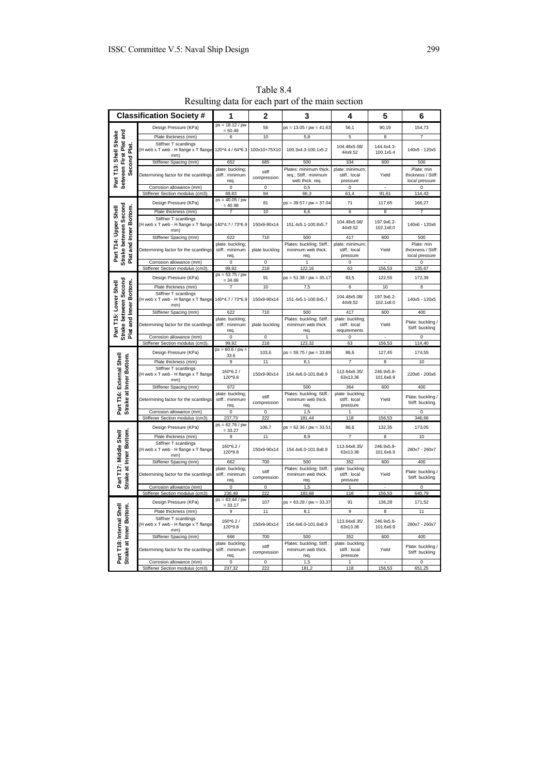| <b>Classification Society#</b>                                           |                                                                      | 1                                           | $\mathbf 2$          | 3                                                                  | 4                                                 | 5                       | 6                                                  |
|--------------------------------------------------------------------------|----------------------------------------------------------------------|---------------------------------------------|----------------------|--------------------------------------------------------------------|---------------------------------------------------|-------------------------|----------------------------------------------------|
| Part T13: Shell Strake<br>between First Plat and<br>Second Plat.         | Design Pressure (KPa)                                                | $ps = 18.12 / pw$<br>$= 50.46$              | 56                   | $ps = 13.05 / pw = 41.63$                                          | 56,1                                              | 90,19                   | 154,73                                             |
|                                                                          | Plate thickness (mm)                                                 | 6                                           | 10                   | 5,8                                                                | 5                                                 | 8                       | $\overline{7}$                                     |
|                                                                          | Stiffner T scantlings<br>(H web x T web - H flange x T flange<br>mm) | 120*4.4 / 64*6.3                            | 100x10+75X10         | 100.3x4.3-100.1x5.2                                                | 104.48x5.08/<br>44x9.52                           | 144.4x4.3-<br>100.1x5.4 | 140x5 - 120x5                                      |
|                                                                          | Stiffener Spacing (mm)                                               | 652                                         | 685                  | 500                                                                | 334                                               | 600                     | 500                                                |
|                                                                          | Determining factor for the scantlings                                | plate: buckling;<br>stiff.: minimum<br>req. | stiff<br>compression | Plates: minimum thick.<br>req.; Stiff.: minimum<br>web thick. req. | plate: minimum;<br>stiff.: local<br>pressure      | Yield                   | Plate: min<br>thickness / Stiff:<br>local pressure |
|                                                                          | Corrosion allowance (mm)                                             | $\overline{\mathbf{0}}$                     | $\pmb{0}$            | 0,5                                                                | $\pmb{0}$                                         |                         | $\pmb{0}$                                          |
|                                                                          | Stiffener Section modulus (cm3)                                      | 68,83                                       | 94                   | 66,3                                                               | 61,4                                              | 91,61                   | 114,43                                             |
|                                                                          | Design Pressure (KPa)                                                | $ps = 40.05 / pw$<br>$= 40.98$              | 81                   | $ps = 39.57 / pw = 37.04$                                          | 71                                                | 117,65                  | 166,27                                             |
|                                                                          | Plate thickness (mm)                                                 | $\overline{7}$                              | 10                   | 6,6                                                                | 6                                                 | 8                       | 7                                                  |
| Strake between Second<br>Plat and Inner Bottom.<br>Part T14: Upper Shell | Stiffner T scantlings<br>H web x T web - H flange x T flange<br>mm)  | 140*4.7 / 73*6.9                            | 150x9-90x14          | 151.4x5.1-100.8x5.7                                                | 104.48x5.08/<br>44x9.52                           | 197.9x6.2-<br>102.1x8.0 | 140x6 - 120x6                                      |
|                                                                          | Stiffener Spacing (mm)                                               | 622                                         | 710                  | 500                                                                | 417                                               | 600                     | 500                                                |
|                                                                          | Determining factor for the scantlings                                | plate: buckling;<br>stiff.: minimum<br>req. | plate buckling       | Plates: buckling; Stiff.:<br>minimum web thick.<br>req.            | plate: minimum;<br>stiff.: local<br>pressure      | Yield                   | Plate: min<br>thickness / Stiff:<br>local pressure |
|                                                                          | Corrosion allowance (mm)                                             | $\overline{0}$                              | $\pmb{0}$            | 1                                                                  | $\overline{0}$                                    |                         | $\overline{0}$                                     |
|                                                                          | Stiffener Section modulus (cm3)                                      | 99,92<br>$ps = 53.75 / pw$                  | 218                  | 122,16                                                             | 63                                                | 156,53                  | 135,67                                             |
|                                                                          | Design Pressure (KPa)                                                | $= 34.66$                                   | 91                   | $ps = 51.38 / pw = 35.17$                                          | 83,5                                              | 122,55                  | 172,39                                             |
|                                                                          | Plate thickness (mm)                                                 | 7                                           | 10                   | 7,5                                                                | 6                                                 | 10                      | 8                                                  |
|                                                                          | Stiffner T scantlings<br>(H web x T web - H flange x T flange<br>mm) | 140*4.7 / 73*6.9                            | 150x9-90x14          | 151.4x5.1-100.8x5.7                                                | 104.48x5.08/<br>44x9.52                           | 197.9x6.2-<br>102.1x8.0 | 140x5 - 120x5                                      |
|                                                                          | Stiffener Spacing (mm)                                               | 622                                         | 710                  | 500                                                                | 417                                               | 600                     | 400                                                |
| Strake between Second<br>Plat and Inner Bottom.<br>Part T15: Lower Shell | Determining factor for the scantlings                                | plate: buckling;<br>stiff.: minimum<br>req. | plate buckling       | Plates: buckling; Stiff.<br>minimum web thick.<br>req.             | plate: buckling;<br>stiff.: local<br>requirements | Yield                   | Plate: buckling<br>Stiff: buckling                 |
|                                                                          | Corrosion allowance (mm)                                             | $\mathsf 0$                                 | $\mathsf 0$          | $\mathbf{1}$                                                       | 0                                                 |                         | $\Omega$                                           |
|                                                                          | Stiffener Section modulus (cm3).                                     | 99,92                                       | 218                  | 123,32                                                             | 63                                                | 156,53                  | 114,40                                             |
|                                                                          | Design Pressure (KPa)                                                | $ps = 60.6 / pw =$<br>33.6                  | 103,6                | ps = 59.75 / pw = 33.89                                            | 86,6                                              | 127,45                  | 174,55                                             |
|                                                                          | Plate thickness (mm)                                                 | 9                                           | 11                   | 8,1                                                                | $\overline{7}$                                    | 8                       | 10                                                 |
|                                                                          | Stiffner T scantlings<br>(H web x T web - H flange x T flange<br>mm) | $160*6.2/$<br>120*9.8                       | 150x9-90x14          | 154.4x6.0-101.8x8.9                                                | 113.64x6.35/<br>63x13.36                          | 246.9x5.8-<br>101.6x6.9 | 220x6 - 200x6                                      |
|                                                                          | Stiffener Spacing (mm)                                               | 672                                         |                      | 500                                                                | 364                                               | 600                     | 400                                                |
| Part T16: External Shell<br>Strake at Inner Bottom.                      | Determining factor for the scantlings                                | plate: buckling;<br>stiff.: minimum<br>req. | stiff<br>compression | Plates: buckling; Stiff.:<br>minimum web thick.<br>req             | plate: buckling;<br>stiff.: local<br>pressure     | Yield                   | Plate: buckling /<br>Stiff: buckling               |
|                                                                          | Corrosion allowance (mm)                                             | 0                                           | $\pmb{0}$            | 1,5                                                                | 1                                                 |                         | $\pmb{0}$                                          |
|                                                                          | Stiffener Section modulus (cm3).                                     | 237,73                                      | 222                  | 181,44                                                             | 118                                               | 156,53                  | 346,66                                             |
|                                                                          | Design Pressure (KPa)                                                | $ps = 62.76 / pw$<br>$= 33.27$<br>9         | 106,7<br>11          | ps = 62.36 / pw = 33.51                                            | 86,6<br>7                                         | 132,35<br>8             | 173,05<br>10                                       |
|                                                                          | Plate thickness (mm)<br>Stiffner T scantlings                        |                                             |                      | 8,9                                                                |                                                   |                         |                                                    |
|                                                                          | (H web x T web - H flange x T flange<br>mm)                          | 160*6.2/<br>120*9.8                         | 150x9-90x14          | 154.4x6.0-101.8x8.9                                                | 113.64x6.35/<br>63x13.36                          | 246.9x5.8-<br>101.6x6.9 | 280x7 - 260x7                                      |
|                                                                          | Stiffener Spacing (mm)                                               | 662                                         | 700                  | 500                                                                | 352                                               | 600                     | 400                                                |
| Strake at Inner Bottom.<br>Part T17: Middle Shell                        | Determining factor for the scantlings                                | plate: buckling;<br>stiff.: minimum<br>req. | stiff<br>compression | Plates: buckling; Stiff.:<br>minimum web thick.<br>req             | plate: buckling;<br>stiff.: local<br>pressure     | Yield                   | Plate: buckling /<br>Stiff: buckling               |
|                                                                          | Corrosion allowance (mm)                                             | 0                                           | $\pmb{0}$            | 1,5                                                                | 1                                                 |                         | $\mathsf 0$                                        |
|                                                                          | Stiffener Section modulus (cm3).                                     | 236,49                                      | 222                  | 183,68                                                             | 118                                               | 156,53                  | 640,79                                             |
| Part T18: Internal Shell<br>Strake at Inner Bottom                       | Design Pressure (KPa)                                                | $ps = 63.44 / pw$<br>$= 33.17$              | 107                  | $ps = 63.28 / pw = 33.37$                                          | 91                                                | 136,28                  | 171,52                                             |
|                                                                          | Plate thickness (mm)                                                 | 9                                           | 11                   | 8,1                                                                | 9                                                 | 8                       | 11                                                 |
|                                                                          | Stiffner T scantlings<br>(H web x T web - H flange x T flange<br>mm) | $160*6.2/$<br>120*9.8                       | 150x9-90x14          | 154.4x6.0-101.8x8.9                                                | 113.64x6.35/<br>63x13.36                          | 246.9x5.8-<br>101.6x6.9 | 280x7 - 260x7                                      |
|                                                                          | Stiffener Spacing (mm)                                               | 666                                         | 700                  | 500                                                                | 352                                               | 600                     | 400                                                |
|                                                                          | Determining factor for the scantlings                                | plate: buckling;<br>stiff.: minimum<br>req. | stiff<br>compression | Plates: buckling; Stiff.:<br>minimum web thick.<br>req.            | plate: buckling;<br>stiff.: local<br>pressure     | Yield                   | Plate: buckling /<br>Stiff: buckling               |
|                                                                          | Corrosion allowance (mm)                                             | $\mathsf 0$                                 | $\pmb{0}$            | 1,5                                                                | $\mathbf{1}$                                      |                         | $\mathsf 0$                                        |
|                                                                          | Stiffener Section modulus (cm3).                                     | 237,32                                      | 222                  | 181,2                                                              | 118                                               | 156,53                  | 651,25                                             |

Table 8.4 Resulting data for each part of the main section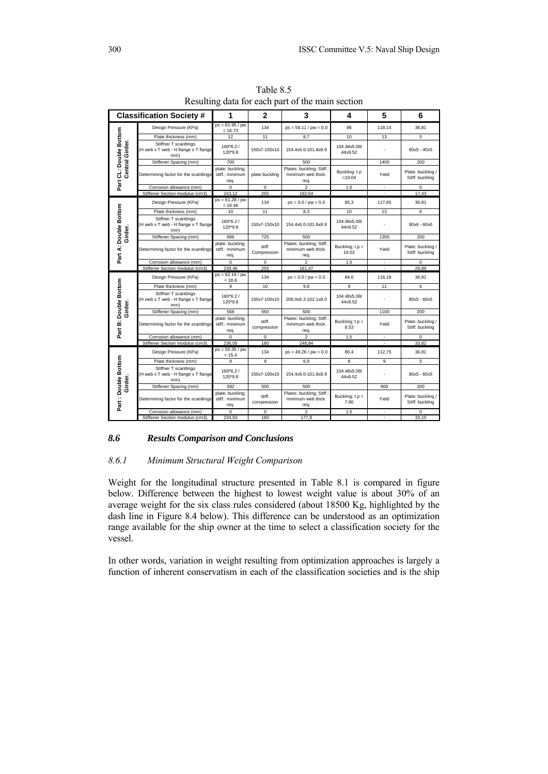|                                           | <b>Classification Society#</b>                                       | 1                                           | $\mathbf{2}$          | 3                                                       | 4                         | 5                        | 6                                    |
|-------------------------------------------|----------------------------------------------------------------------|---------------------------------------------|-----------------------|---------------------------------------------------------|---------------------------|--------------------------|--------------------------------------|
| Part CL: Double Bottom<br>Central Girder. | Design Pressure (KPa)                                                | $ps = 61.95 / pw$<br>$= 16.73$              | 134                   | $ps = 58.11 / pw = 0.0$                                 | 86                        | 118.14                   | 36,81                                |
|                                           | Plate thickness (mm)                                                 | 12                                          | 11                    | 8.7                                                     | 10                        | 13                       | 5                                    |
|                                           | Stiffner T scantlings<br>(H web x T web - H flange x T flange<br>mm) | $160*6.2/$<br>120*9.8                       | 150x7-150x10          | 154.4x6.0-101.8x8.9                                     | 104.48x5.08/<br>44x9.52   |                          | $60x5 - 40x5$                        |
|                                           | Stiffener Spacing (mm)                                               | 700                                         |                       | 500                                                     |                           | 1400                     | 200                                  |
|                                           | Determining factor for the scantlings                                | plate: buckling;<br>stiff.: minimum<br>req. | plate buckling        | Plates: buckling; Stiff.:<br>minimum web thick.<br>req. | Buckling: t p<br>$=10.04$ | Yield                    | Plate: buckling /<br>Stiff: buckling |
|                                           | Corrosion allowance (mm)                                             | $\Omega$                                    | $\Omega$              | $\overline{\phantom{a}}$                                | 1,5                       |                          | $\mathbf 0$                          |
|                                           | Stiffener Section modulus (cm3).                                     | 243.12                                      | 255                   | 182.64                                                  |                           |                          | 17.43                                |
|                                           | Design Pressure (KPa)                                                | $ps = 61.28 / pw$<br>$= 16.46$              | 134                   | $ps = 0.0 / pw = 0.0$                                   | 85.3                      | 117,65                   | 36.81                                |
|                                           | Plate thickness (mm)                                                 | 10                                          | 11                    | 8,3                                                     | 10                        | 13                       | 6                                    |
| Girder.                                   | Stiffner T scantlings<br>(H web x T web - H flange x T flange<br>mm) | $160*6.2/$<br>120*9.8                       | 150x7-150x10          | 154.4x6.0-101.8x8.9                                     | 104.48x5.08/<br>44x9.52   |                          | 80x6 - 60x6                          |
|                                           | Stiffener Spacing (mm)                                               | 666                                         | 725                   | 500                                                     |                           | 1350                     | 200                                  |
| Part A: Double Bottom                     | Determining factor for the scantlings                                | plate: buckling;<br>stiff.: minimum<br>req. | stiff.<br>Compression | Plates: buckling; Stiff.:<br>minimum web thick.<br>req. | Buckling; $tp =$<br>10.02 | Yield                    | Plate: buckling /<br>Stiff: buckling |
|                                           | Corrosion allowance (mm)                                             | $\mathbf 0$                                 | $\mathbf 0$           | $\overline{2}$                                          | 1,5                       | $\overline{\phantom{a}}$ | $\mathbf 0$                          |
|                                           | Stiffener Section modulus (cm3).                                     | 239.46                                      | 255                   | 181.47                                                  |                           |                          | 29.89                                |
|                                           | Design Pressure (KPa)                                                | $ps = 62.19 / pw$<br>$= 18.8$               | 134                   | $ps = 0.0 / pw = 0.0$                                   | 84.6                      | 116.18                   | 36.81                                |
|                                           | Plate thickness (mm)                                                 | 9                                           | 10                    | 9,8                                                     | 9                         | 11                       | 6                                    |
| <b>B:</b> Double Bottom<br>Girder.        | Stiffner T scantlings<br>(H web x T web - H flange x T flange<br>mm) | $160*6.2/$<br>120*9.8                       | 150x7-100x10          | 206.0x6.2-102.1x8.0                                     | 104.48x5.08/<br>44x9.52   |                          | 80x5 - 60x5                          |
|                                           | Stiffener Spacing (mm)                                               | 558                                         | 550                   | 500                                                     |                           | 1100                     | 200                                  |
| Part I                                    | Determining factor for the scantlings                                | plate: buckling;<br>stiff.: minimum<br>req. | stiff.<br>compression | Plates: buckling; Stiff.:<br>minimum web thick.<br>rea. | Buckling; $tp =$<br>8.53  | Yield                    | Plate: buckling /<br>Stiff: buckling |
|                                           | Corrosion allowance (mm)                                             | $\Omega$                                    | $\Omega$              | $\overline{a}$                                          | 1,5                       | $\overline{\phantom{a}}$ | $\mathbf 0$                          |
|                                           | Stiffener Section modulus (cm3).                                     | 236.05                                      | 180                   | 248.84                                                  |                           | $\overline{\phantom{a}}$ | 33.82                                |
| Part: Double Bottom<br>Girder.            | Design Pressure (KPa)                                                | $ps = 55.35 / pw$<br>$= 15.4$               | 134                   | $ps = 49.26 / pw = 0.0$                                 | 80.4                      | 112.75                   | 36.81                                |
|                                           | Plate thickness (mm)                                                 | 8                                           | 9                     | 6,9                                                     | 8                         | 9                        | 5                                    |
|                                           | Stiffner T scantlings<br>(H web x T web - H flange x T flange<br>mm) | 160*6.2/<br>120*9.8                         | 150x7-100x10          | 154.4x6.0-101.8x8.9                                     | 104.48x5.08/<br>44x9.52   |                          | 80x5 - 60x5                          |
|                                           | Stiffener Spacing (mm)                                               | 592                                         | 500                   | 500                                                     |                           | 900                      | 200                                  |
|                                           | Determining factor for the scantlings                                | plate: buckling:<br>stiff.: minimum<br>req. | stiff.<br>compression | Plates: buckling; Stiff.:<br>minimum web thick.<br>req. | Buckling; $t p =$<br>7.80 | Yield                    | Plate: buckling /<br>Stiff: buckling |
|                                           |                                                                      |                                             |                       |                                                         |                           |                          |                                      |
|                                           | Corrosion allowance (mm)<br>Stiffener Section modulus (cm3).         | $\mathbf 0$<br>234,53                       | $\mathbf 0$<br>180    | $\overline{2}$<br>177,8                                 | 1,5                       | $\overline{\phantom{a}}$ | 0<br>33,10                           |

Table 8.5 Resulting data for each part of the main section

# *8.6 Results Comparison and Conclusions*

### *8.6.1 Minimum Structural Weight Comparison*

Weight for the longitudinal structure presented in Table 8.1 is compared in figure below. Difference between the highest to lowest weight value is about 30% of an average weight for the six class rules considered (about 18500 Kg, highlighted by the dash line in Figure 8.4 below). This difference can be understood as an optimization range available for the ship owner at the time to select a classification society for the vessel.

In other words, variation in weight resulting from optimization approaches is largely a function of inherent conservatism in each of the classification societies and is the ship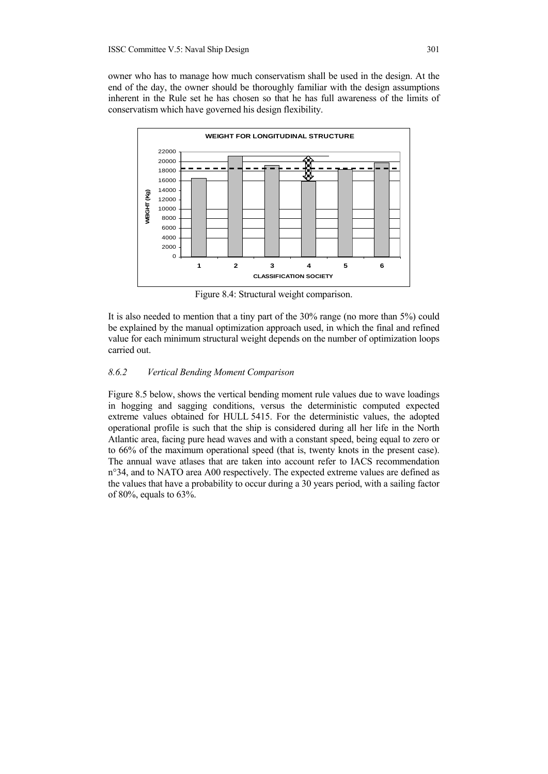owner who has to manage how much conservatism shall be used in the design. At the end of the day, the owner should be thoroughly familiar with the design assumptions inherent in the Rule set he has chosen so that he has full awareness of the limits of conservatism which have governed his design flexibility.



Figure 8.4: Structural weight comparison.

It is also needed to mention that a tiny part of the 30% range (no more than 5%) could be explained by the manual optimization approach used, in which the final and refined value for each minimum structural weight depends on the number of optimization loops carried out.

### *8.6.2 Vertical Bending Moment Comparison*

Figure 8.5 below, shows the vertical bending moment rule values due to wave loadings in hogging and sagging conditions, versus the deterministic computed expected extreme values obtained for HULL 5415. For the deterministic values, the adopted operational profile is such that the ship is considered during all her life in the North Atlantic area, facing pure head waves and with a constant speed, being equal to zero or to 66% of the maximum operational speed (that is, twenty knots in the present case). The annual wave atlases that are taken into account refer to IACS recommendation n°34, and to NATO area A00 respectively. The expected extreme values are defined as the values that have a probability to occur during a 30 years period, with a sailing factor of 80%, equals to 63%.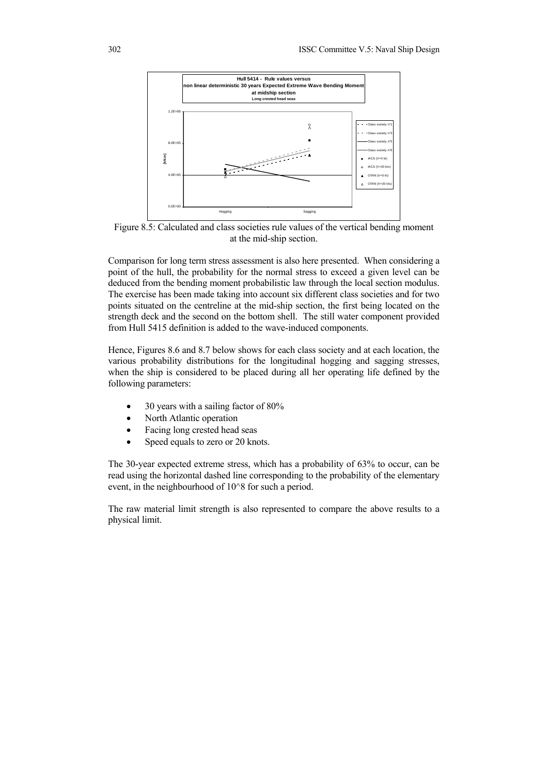

Figure 8.5: Calculated and class societies rule values of the vertical bending moment at the mid-ship section.

Comparison for long term stress assessment is also here presented. When considering a point of the hull, the probability for the normal stress to exceed a given level can be deduced from the bending moment probabilistic law through the local section modulus. The exercise has been made taking into account six different class societies and for two points situated on the centreline at the mid-ship section, the first being located on the strength deck and the second on the bottom shell. The still water component provided from Hull 5415 definition is added to the wave-induced components.

Hence, Figures 8.6 and 8.7 below shows for each class society and at each location, the various probability distributions for the longitudinal hogging and sagging stresses, when the ship is considered to be placed during all her operating life defined by the following parameters:

- 30 years with a sailing factor of 80%
- North Atlantic operation
- Facing long crested head seas
- Speed equals to zero or 20 knots.

The 30-year expected extreme stress, which has a probability of 63% to occur, can be read using the horizontal dashed line corresponding to the probability of the elementary event, in the neighbourhood of 10^8 for such a period.

The raw material limit strength is also represented to compare the above results to a physical limit.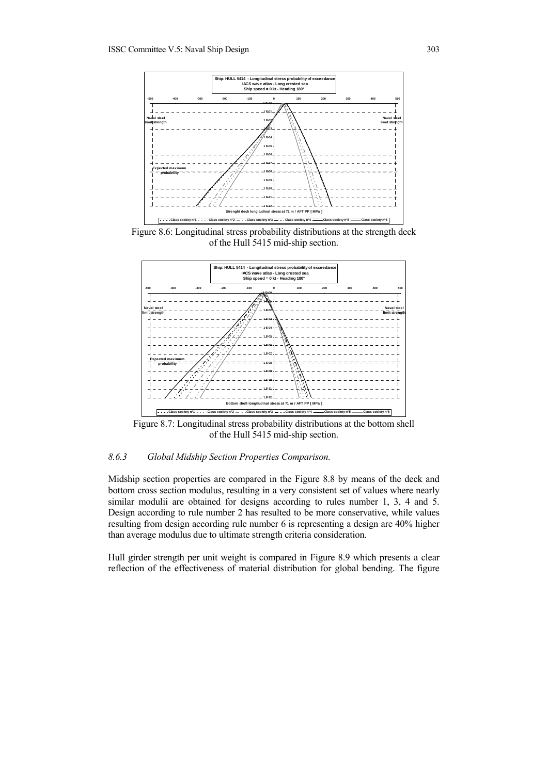

Figure 8.6: Longitudinal stress probability distributions at the strength deck of the Hull 5415 mid-ship section.



Figure 8.7: Longitudinal stress probability distributions at the bottom shell of the Hull 5415 mid-ship section.

# *8.6.3 Global Midship Section Properties Comparison.*

Midship section properties are compared in the Figure 8.8 by means of the deck and bottom cross section modulus, resulting in a very consistent set of values where nearly similar modulii are obtained for designs according to rules number 1, 3, 4 and 5. Design according to rule number 2 has resulted to be more conservative, while values resulting from design according rule number 6 is representing a design are 40% higher than average modulus due to ultimate strength criteria consideration.

Hull girder strength per unit weight is compared in Figure 8.9 which presents a clear reflection of the effectiveness of material distribution for global bending. The figure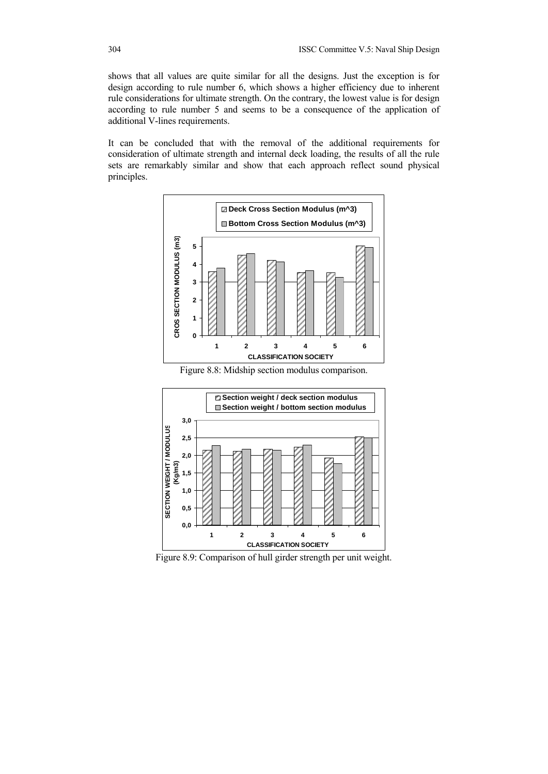shows that all values are quite similar for all the designs. Just the exception is for design according to rule number 6, which shows a higher efficiency due to inherent rule considerations for ultimate strength. On the contrary, the lowest value is for design according to rule number 5 and seems to be a consequence of the application of additional V-lines requirements.

It can be concluded that with the removal of the additional requirements for consideration of ultimate strength and internal deck loading, the results of all the rule sets are remarkably similar and show that each approach reflect sound physical principles.



Figure 8.8: Midship section modulus comparison.



Figure 8.9: Comparison of hull girder strength per unit weight.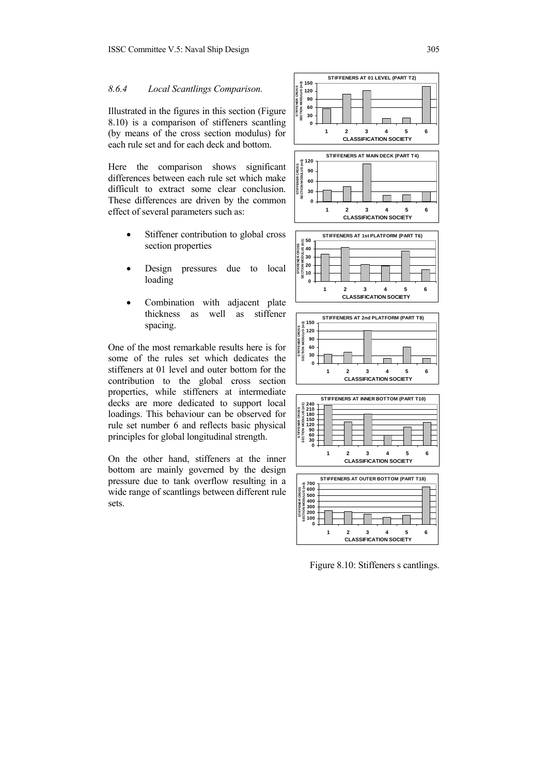### *8.6.4 Local Scantlings Comparison.*

Illustrated in the figures in this section (Figure 8.10) is a comparison of stiffeners scantling (by means of the cross section modulus) for each rule set and for each deck and bottom.

Here the comparison shows significant differences between each rule set which make difficult to extract some clear conclusion. These differences are driven by the common effect of several parameters such as:

- Stiffener contribution to global cross section properties
- Design pressures due to local loading
- Combination with adjacent plate thickness as well as stiffener spacing.

One of the most remarkable results here is for some of the rules set which dedicates the stiffeners at 01 level and outer bottom for the contribution to the global cross section properties, while stiffeners at intermediate decks are more dedicated to support local loadings. This behaviour can be observed for rule set number 6 and reflects basic physical principles for global longitudinal strength.

On the other hand, stiffeners at the inner bottom are mainly governed by the design pressure due to tank overflow resulting in a wide range of scantlings between different rule sets.



Figure 8.10: Stiffeners s cantlings.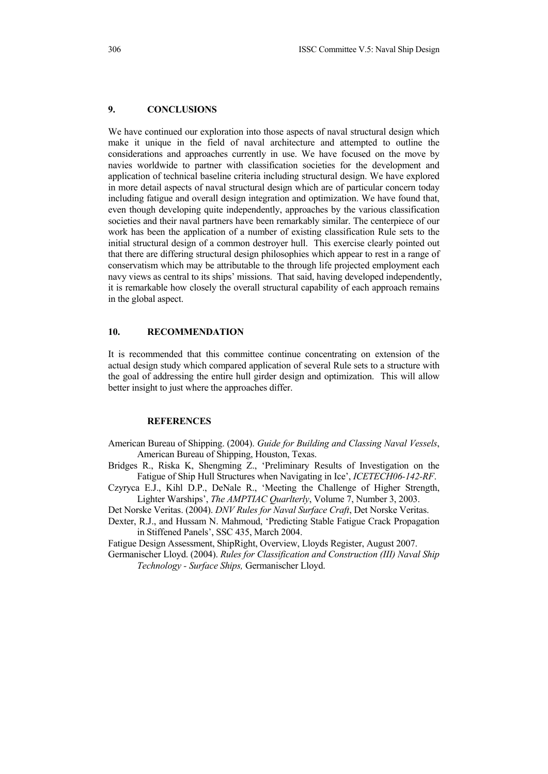# **9. CONCLUSIONS**

We have continued our exploration into those aspects of naval structural design which make it unique in the field of naval architecture and attempted to outline the considerations and approaches currently in use. We have focused on the move by navies worldwide to partner with classification societies for the development and application of technical baseline criteria including structural design. We have explored in more detail aspects of naval structural design which are of particular concern today including fatigue and overall design integration and optimization. We have found that, even though developing quite independently, approaches by the various classification societies and their naval partners have been remarkably similar. The centerpiece of our work has been the application of a number of existing classification Rule sets to the initial structural design of a common destroyer hull. This exercise clearly pointed out that there are differing structural design philosophies which appear to rest in a range of conservatism which may be attributable to the through life projected employment each navy views as central to its ships' missions. That said, having developed independently, it is remarkable how closely the overall structural capability of each approach remains in the global aspect.

#### **10. RECOMMENDATION**

It is recommended that this committee continue concentrating on extension of the actual design study which compared application of several Rule sets to a structure with the goal of addressing the entire hull girder design and optimization. This will allow better insight to just where the approaches differ.

#### **REFERENCES**

- American Bureau of Shipping. (2004). *Guide for Building and Classing Naval Vessels*, American Bureau of Shipping, Houston, Texas.
- Bridges R., Riska K, Shengming Z., 'Preliminary Results of Investigation on the Fatigue of Ship Hull Structures when Navigating in Ice', *ICETECH06-142-RF*.
- Czyryca E.J., Kihl D.P., DeNale R., 'Meeting the Challenge of Higher Strength, Lighter Warships', *The AMPTIAC Quarlterly*, Volume 7, Number 3, 2003.
- Det Norske Veritas. (2004). *DNV Rules for Naval Surface Craft*, Det Norske Veritas.
- Dexter, R.J., and Hussam N. Mahmoud, 'Predicting Stable Fatigue Crack Propagation in Stiffened Panels', SSC 435, March 2004.

Fatigue Design Assessment, ShipRight, Overview, Lloyds Register, August 2007.

Germanischer Lloyd. (2004). *Rules for Classification and Construction (III) Naval Ship Technology - Surface Ships,* Germanischer Lloyd.